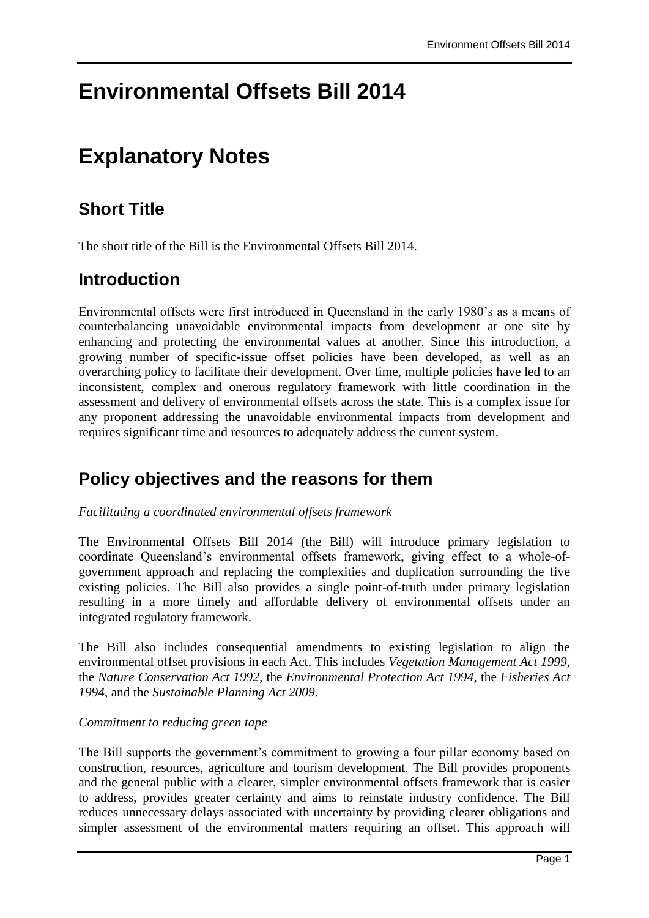# **Environmental Offsets Bill 2014**

# **Explanatory Notes**

## **Short Title**

The short title of the Bill is the Environmental Offsets Bill 2014.

## **Introduction**

Environmental offsets were first introduced in Queensland in the early 1980's as a means of counterbalancing unavoidable environmental impacts from development at one site by enhancing and protecting the environmental values at another. Since this introduction, a growing number of specific-issue offset policies have been developed, as well as an overarching policy to facilitate their development. Over time, multiple policies have led to an inconsistent, complex and onerous regulatory framework with little coordination in the assessment and delivery of environmental offsets across the state. This is a complex issue for any proponent addressing the unavoidable environmental impacts from development and requires significant time and resources to adequately address the current system.

## **Policy objectives and the reasons for them**

## *Facilitating a coordinated environmental offsets framework*

The Environmental Offsets Bill 2014 (the Bill) will introduce primary legislation to coordinate Queensland's environmental offsets framework, giving effect to a whole-ofgovernment approach and replacing the complexities and duplication surrounding the five existing policies. The Bill also provides a single point-of-truth under primary legislation resulting in a more timely and affordable delivery of environmental offsets under an integrated regulatory framework.

The Bill also includes consequential amendments to existing legislation to align the environmental offset provisions in each Act. This includes *Vegetation Management Act 1999*, the *Nature Conservation Act 1992*, the *Environmental Protection Act 1994*, the *Fisheries Act 1994*, and the *Sustainable Planning Act 2009*.

## *Commitment to reducing green tape*

The Bill supports the government's commitment to growing a four pillar economy based on construction, resources, agriculture and tourism development. The Bill provides proponents and the general public with a clearer, simpler environmental offsets framework that is easier to address, provides greater certainty and aims to reinstate industry confidence. The Bill reduces unnecessary delays associated with uncertainty by providing clearer obligations and simpler assessment of the environmental matters requiring an offset. This approach will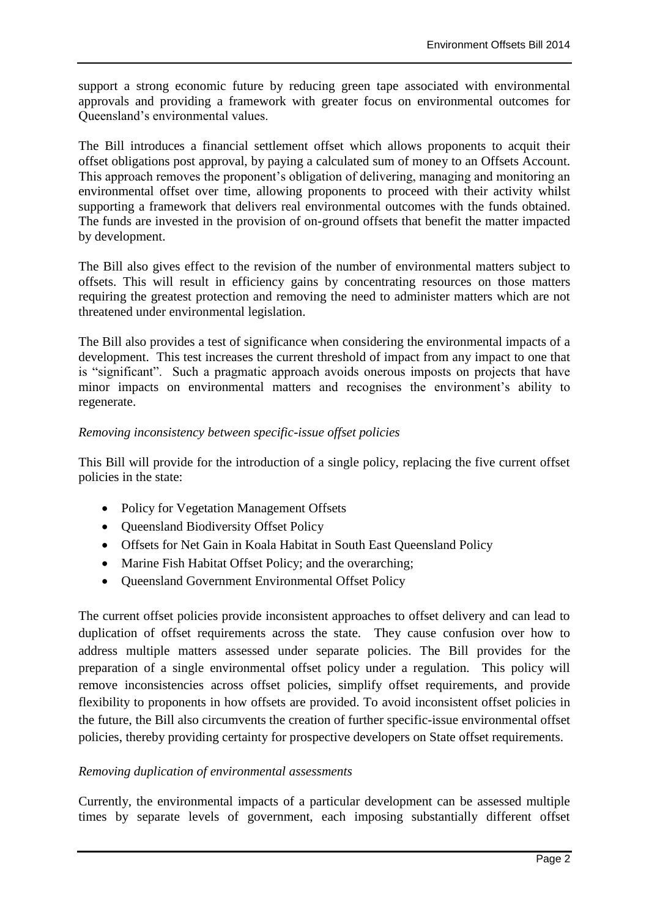support a strong economic future by reducing green tape associated with environmental approvals and providing a framework with greater focus on environmental outcomes for Queensland's environmental values.

The Bill introduces a financial settlement offset which allows proponents to acquit their offset obligations post approval, by paying a calculated sum of money to an Offsets Account. This approach removes the proponent's obligation of delivering, managing and monitoring an environmental offset over time, allowing proponents to proceed with their activity whilst supporting a framework that delivers real environmental outcomes with the funds obtained. The funds are invested in the provision of on-ground offsets that benefit the matter impacted by development.

The Bill also gives effect to the revision of the number of environmental matters subject to offsets. This will result in efficiency gains by concentrating resources on those matters requiring the greatest protection and removing the need to administer matters which are not threatened under environmental legislation.

The Bill also provides a test of significance when considering the environmental impacts of a development. This test increases the current threshold of impact from any impact to one that is "significant". Such a pragmatic approach avoids onerous imposts on projects that have minor impacts on environmental matters and recognises the environment's ability to regenerate.

## *Removing inconsistency between specific-issue offset policies*

This Bill will provide for the introduction of a single policy, replacing the five current offset policies in the state:

- Policy for Vegetation Management Offsets
- Queensland Biodiversity Offset Policy
- Offsets for Net Gain in Koala Habitat in South East Oueensland Policy
- Marine Fish Habitat Offset Policy; and the overarching;
- Oueensland Government Environmental Offset Policy

The current offset policies provide inconsistent approaches to offset delivery and can lead to duplication of offset requirements across the state. They cause confusion over how to address multiple matters assessed under separate policies. The Bill provides for the preparation of a single environmental offset policy under a regulation. This policy will remove inconsistencies across offset policies, simplify offset requirements, and provide flexibility to proponents in how offsets are provided. To avoid inconsistent offset policies in the future, the Bill also circumvents the creation of further specific-issue environmental offset policies, thereby providing certainty for prospective developers on State offset requirements.

#### *Removing duplication of environmental assessments*

Currently, the environmental impacts of a particular development can be assessed multiple times by separate levels of government, each imposing substantially different offset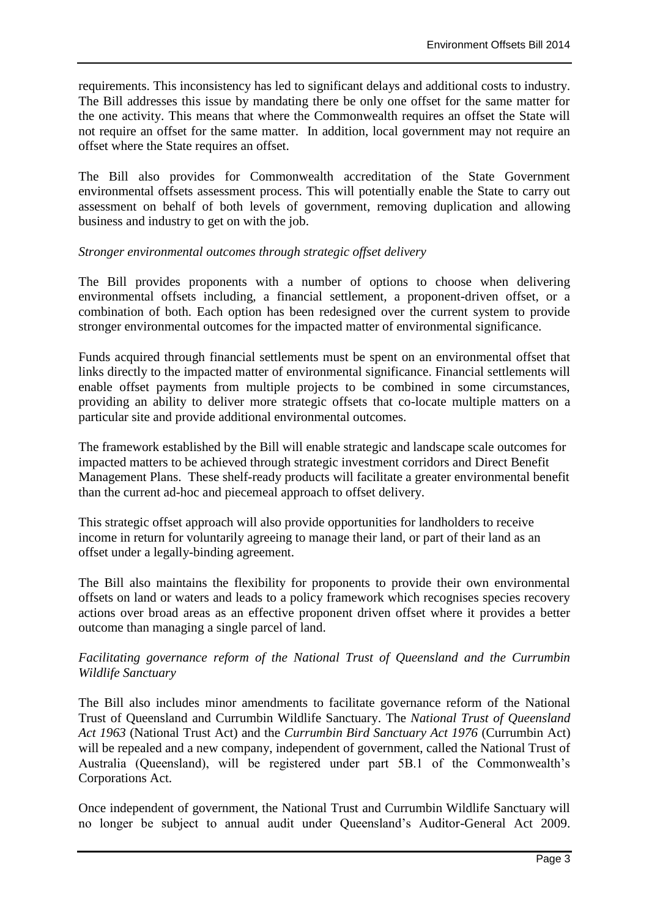requirements. This inconsistency has led to significant delays and additional costs to industry. The Bill addresses this issue by mandating there be only one offset for the same matter for the one activity. This means that where the Commonwealth requires an offset the State will not require an offset for the same matter. In addition, local government may not require an offset where the State requires an offset.

The Bill also provides for Commonwealth accreditation of the State Government environmental offsets assessment process. This will potentially enable the State to carry out assessment on behalf of both levels of government, removing duplication and allowing business and industry to get on with the job.

#### *Stronger environmental outcomes through strategic offset delivery*

The Bill provides proponents with a number of options to choose when delivering environmental offsets including, a financial settlement, a proponent-driven offset, or a combination of both. Each option has been redesigned over the current system to provide stronger environmental outcomes for the impacted matter of environmental significance.

Funds acquired through financial settlements must be spent on an environmental offset that links directly to the impacted matter of environmental significance. Financial settlements will enable offset payments from multiple projects to be combined in some circumstances, providing an ability to deliver more strategic offsets that co-locate multiple matters on a particular site and provide additional environmental outcomes.

The framework established by the Bill will enable strategic and landscape scale outcomes for impacted matters to be achieved through strategic investment corridors and Direct Benefit Management Plans. These shelf-ready products will facilitate a greater environmental benefit than the current ad-hoc and piecemeal approach to offset delivery.

This strategic offset approach will also provide opportunities for landholders to receive income in return for voluntarily agreeing to manage their land, or part of their land as an offset under a legally-binding agreement.

The Bill also maintains the flexibility for proponents to provide their own environmental offsets on land or waters and leads to a policy framework which recognises species recovery actions over broad areas as an effective proponent driven offset where it provides a better outcome than managing a single parcel of land.

#### *Facilitating governance reform of the National Trust of Queensland and the Currumbin Wildlife Sanctuary*

The Bill also includes minor amendments to facilitate governance reform of the National Trust of Queensland and Currumbin Wildlife Sanctuary. The *National Trust of Queensland Act 1963* (National Trust Act) and the *Currumbin Bird Sanctuary Act 1976* (Currumbin Act) will be repealed and a new company, independent of government, called the National Trust of Australia (Queensland), will be registered under part 5B.1 of the Commonwealth's Corporations Act.

Once independent of government, the National Trust and Currumbin Wildlife Sanctuary will no longer be subject to annual audit under Queensland's Auditor-General Act 2009.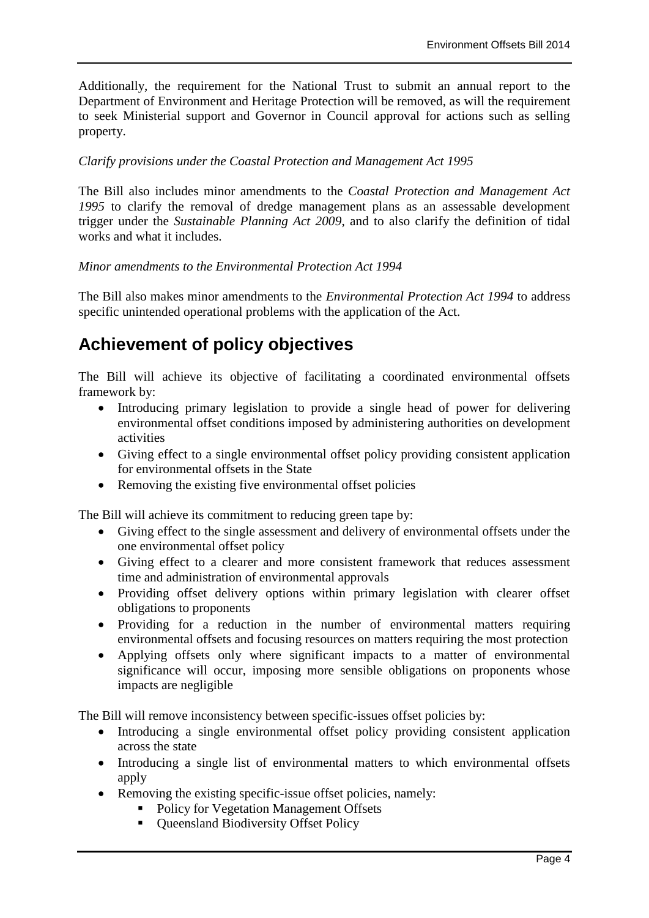Additionally, the requirement for the National Trust to submit an annual report to the Department of Environment and Heritage Protection will be removed, as will the requirement to seek Ministerial support and Governor in Council approval for actions such as selling property.

#### *Clarify provisions under the Coastal Protection and Management Act 1995*

The Bill also includes minor amendments to the *Coastal Protection and Management Act 1995* to clarify the removal of dredge management plans as an assessable development trigger under the *Sustainable Planning Act 2009*, and to also clarify the definition of tidal works and what it includes.

*Minor amendments to the Environmental Protection Act 1994* 

The Bill also makes minor amendments to the *Environmental Protection Act 1994* to address specific unintended operational problems with the application of the Act.

## **Achievement of policy objectives**

The Bill will achieve its objective of facilitating a coordinated environmental offsets framework by:

- Introducing primary legislation to provide a single head of power for delivering environmental offset conditions imposed by administering authorities on development activities
- Giving effect to a single environmental offset policy providing consistent application for environmental offsets in the State
- Removing the existing five environmental offset policies

The Bill will achieve its commitment to reducing green tape by:

- Giving effect to the single assessment and delivery of environmental offsets under the one environmental offset policy
- Giving effect to a clearer and more consistent framework that reduces assessment time and administration of environmental approvals
- Providing offset delivery options within primary legislation with clearer offset obligations to proponents
- Providing for a reduction in the number of environmental matters requiring environmental offsets and focusing resources on matters requiring the most protection
- Applying offsets only where significant impacts to a matter of environmental significance will occur, imposing more sensible obligations on proponents whose impacts are negligible

The Bill will remove inconsistency between specific-issues offset policies by:

- Introducing a single environmental offset policy providing consistent application across the state
- Introducing a single list of environmental matters to which environmental offsets apply
- Removing the existing specific-issue offset policies, namely:
	- Policy for Vegetation Management Offsets
	- Queensland Biodiversity Offset Policy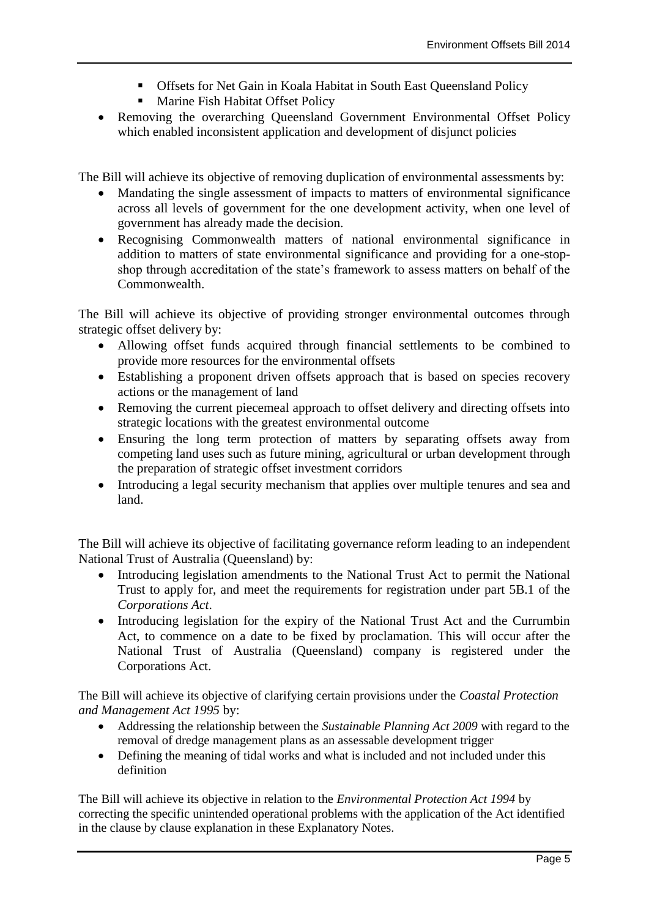- Offsets for Net Gain in Koala Habitat in South East Queensland Policy
- **Marine Fish Habitat Offset Policy**
- Removing the overarching Queensland Government Environmental Offset Policy which enabled inconsistent application and development of disjunct policies

The Bill will achieve its objective of removing duplication of environmental assessments by:

- Mandating the single assessment of impacts to matters of environmental significance across all levels of government for the one development activity, when one level of government has already made the decision.
- Recognising Commonwealth matters of national environmental significance in addition to matters of state environmental significance and providing for a one-stopshop through accreditation of the state's framework to assess matters on behalf of the Commonwealth.

The Bill will achieve its objective of providing stronger environmental outcomes through strategic offset delivery by:

- Allowing offset funds acquired through financial settlements to be combined to provide more resources for the environmental offsets
- Establishing a proponent driven offsets approach that is based on species recovery actions or the management of land
- Removing the current piecemeal approach to offset delivery and directing offsets into strategic locations with the greatest environmental outcome
- Ensuring the long term protection of matters by separating offsets away from competing land uses such as future mining, agricultural or urban development through the preparation of strategic offset investment corridors
- Introducing a legal security mechanism that applies over multiple tenures and sea and land.

The Bill will achieve its objective of facilitating governance reform leading to an independent National Trust of Australia (Queensland) by:

- Introducing legislation amendments to the National Trust Act to permit the National Trust to apply for, and meet the requirements for registration under part 5B.1 of the *Corporations Act*.
- Introducing legislation for the expiry of the National Trust Act and the Currumbin Act, to commence on a date to be fixed by proclamation. This will occur after the National Trust of Australia (Queensland) company is registered under the Corporations Act.

The Bill will achieve its objective of clarifying certain provisions under the *Coastal Protection and Management Act 1995* by:

- Addressing the relationship between the *Sustainable Planning Act 2009* with regard to the removal of dredge management plans as an assessable development trigger
- Defining the meaning of tidal works and what is included and not included under this definition

The Bill will achieve its objective in relation to the *Environmental Protection Act 1994* by correcting the specific unintended operational problems with the application of the Act identified in the clause by clause explanation in these Explanatory Notes.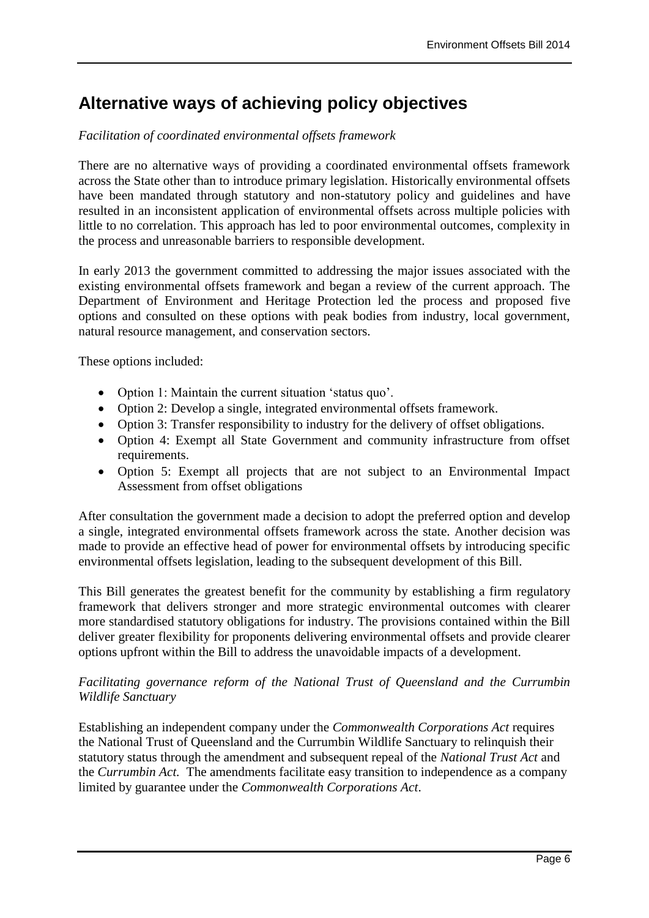## **Alternative ways of achieving policy objectives**

## *Facilitation of coordinated environmental offsets framework*

There are no alternative ways of providing a coordinated environmental offsets framework across the State other than to introduce primary legislation. Historically environmental offsets have been mandated through statutory and non-statutory policy and guidelines and have resulted in an inconsistent application of environmental offsets across multiple policies with little to no correlation. This approach has led to poor environmental outcomes, complexity in the process and unreasonable barriers to responsible development.

In early 2013 the government committed to addressing the major issues associated with the existing environmental offsets framework and began a review of the current approach. The Department of Environment and Heritage Protection led the process and proposed five options and consulted on these options with peak bodies from industry, local government, natural resource management, and conservation sectors.

These options included:

- Option 1: Maintain the current situation 'status quo'.
- Option 2: Develop a single, integrated environmental offsets framework.
- Option 3: Transfer responsibility to industry for the delivery of offset obligations.
- Option 4: Exempt all State Government and community infrastructure from offset requirements.
- Option 5: Exempt all projects that are not subject to an Environmental Impact Assessment from offset obligations

After consultation the government made a decision to adopt the preferred option and develop a single, integrated environmental offsets framework across the state. Another decision was made to provide an effective head of power for environmental offsets by introducing specific environmental offsets legislation, leading to the subsequent development of this Bill.

This Bill generates the greatest benefit for the community by establishing a firm regulatory framework that delivers stronger and more strategic environmental outcomes with clearer more standardised statutory obligations for industry. The provisions contained within the Bill deliver greater flexibility for proponents delivering environmental offsets and provide clearer options upfront within the Bill to address the unavoidable impacts of a development.

## *Facilitating governance reform of the National Trust of Queensland and the Currumbin Wildlife Sanctuary*

Establishing an independent company under the *Commonwealth Corporations Act* requires the National Trust of Queensland and the Currumbin Wildlife Sanctuary to relinquish their statutory status through the amendment and subsequent repeal of the *National Trust Act* and the *Currumbin Act.* The amendments facilitate easy transition to independence as a company limited by guarantee under the *Commonwealth Corporations Act*.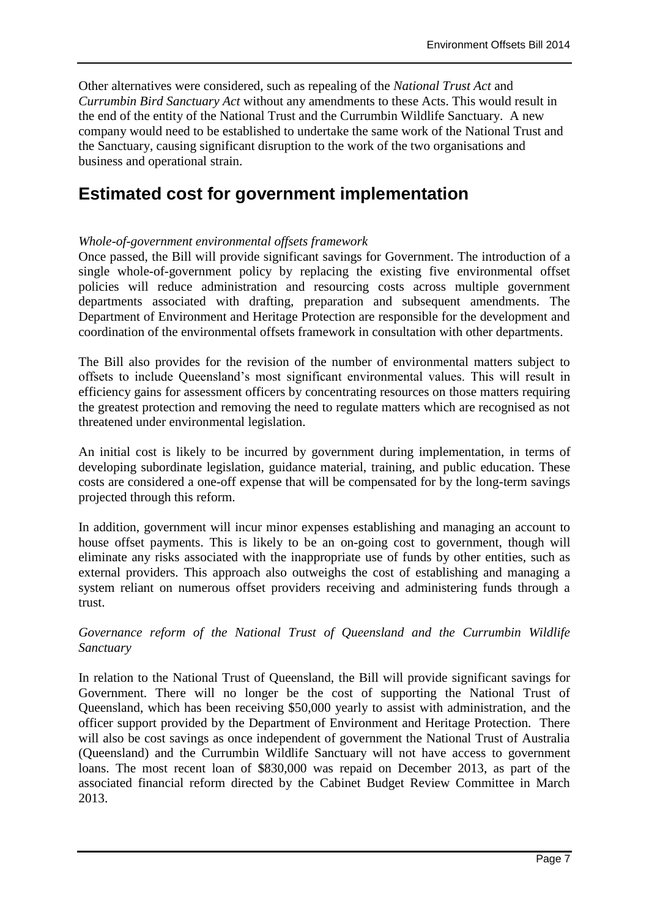Other alternatives were considered, such as repealing of the *National Trust Act* and *Currumbin Bird Sanctuary Act* without any amendments to these Acts. This would result in the end of the entity of the National Trust and the Currumbin Wildlife Sanctuary. A new company would need to be established to undertake the same work of the National Trust and the Sanctuary, causing significant disruption to the work of the two organisations and business and operational strain.

## **Estimated cost for government implementation**

## *Whole-of-government environmental offsets framework*

Once passed, the Bill will provide significant savings for Government. The introduction of a single whole-of-government policy by replacing the existing five environmental offset policies will reduce administration and resourcing costs across multiple government departments associated with drafting, preparation and subsequent amendments. The Department of Environment and Heritage Protection are responsible for the development and coordination of the environmental offsets framework in consultation with other departments.

The Bill also provides for the revision of the number of environmental matters subject to offsets to include Queensland's most significant environmental values. This will result in efficiency gains for assessment officers by concentrating resources on those matters requiring the greatest protection and removing the need to regulate matters which are recognised as not threatened under environmental legislation.

An initial cost is likely to be incurred by government during implementation, in terms of developing subordinate legislation, guidance material, training, and public education. These costs are considered a one-off expense that will be compensated for by the long-term savings projected through this reform.

In addition, government will incur minor expenses establishing and managing an account to house offset payments. This is likely to be an on-going cost to government, though will eliminate any risks associated with the inappropriate use of funds by other entities, such as external providers. This approach also outweighs the cost of establishing and managing a system reliant on numerous offset providers receiving and administering funds through a trust.

## *Governance reform of the National Trust of Queensland and the Currumbin Wildlife Sanctuary*

In relation to the National Trust of Queensland, the Bill will provide significant savings for Government. There will no longer be the cost of supporting the National Trust of Queensland, which has been receiving \$50,000 yearly to assist with administration, and the officer support provided by the Department of Environment and Heritage Protection. There will also be cost savings as once independent of government the National Trust of Australia (Queensland) and the Currumbin Wildlife Sanctuary will not have access to government loans. The most recent loan of \$830,000 was repaid on December 2013, as part of the associated financial reform directed by the Cabinet Budget Review Committee in March 2013.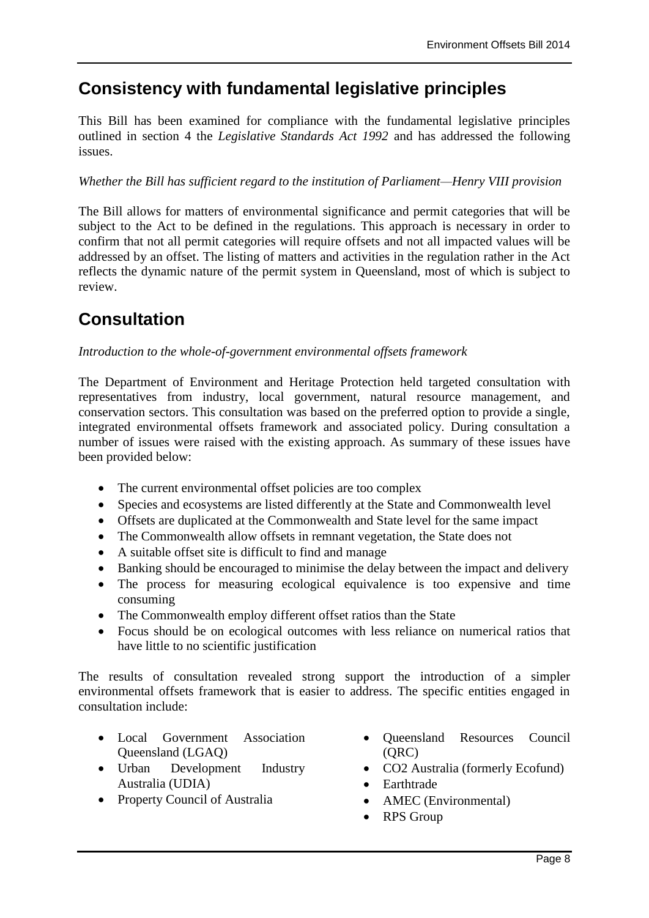## **Consistency with fundamental legislative principles**

This Bill has been examined for compliance with the fundamental legislative principles outlined in section 4 the *Legislative Standards Act 1992* and has addressed the following issues.

### *Whether the Bill has sufficient regard to the institution of Parliament—Henry VIII provision*

The Bill allows for matters of environmental significance and permit categories that will be subject to the Act to be defined in the regulations. This approach is necessary in order to confirm that not all permit categories will require offsets and not all impacted values will be addressed by an offset. The listing of matters and activities in the regulation rather in the Act reflects the dynamic nature of the permit system in Queensland, most of which is subject to review.

## **Consultation**

## *Introduction to the whole-of-government environmental offsets framework*

The Department of Environment and Heritage Protection held targeted consultation with representatives from industry, local government, natural resource management, and conservation sectors. This consultation was based on the preferred option to provide a single, integrated environmental offsets framework and associated policy. During consultation a number of issues were raised with the existing approach. As summary of these issues have been provided below:

- The current environmental offset policies are too complex
- Species and ecosystems are listed differently at the State and Commonwealth level
- Offsets are duplicated at the Commonwealth and State level for the same impact
- The Commonwealth allow offsets in remnant vegetation, the State does not
- A suitable offset site is difficult to find and manage
- Banking should be encouraged to minimise the delay between the impact and delivery
- The process for measuring ecological equivalence is too expensive and time consuming
- The Commonwealth employ different offset ratios than the State
- Focus should be on ecological outcomes with less reliance on numerical ratios that have little to no scientific justification

The results of consultation revealed strong support the introduction of a simpler environmental offsets framework that is easier to address. The specific entities engaged in consultation include:

- Local Government Association Queensland (LGAQ)
- Urban Development Industry Australia (UDIA)
- Property Council of Australia
- Queensland Resources Council (QRC)
- CO2 Australia (formerly Ecofund)
- Earthtrade
- AMEC (Environmental)
- RPS Group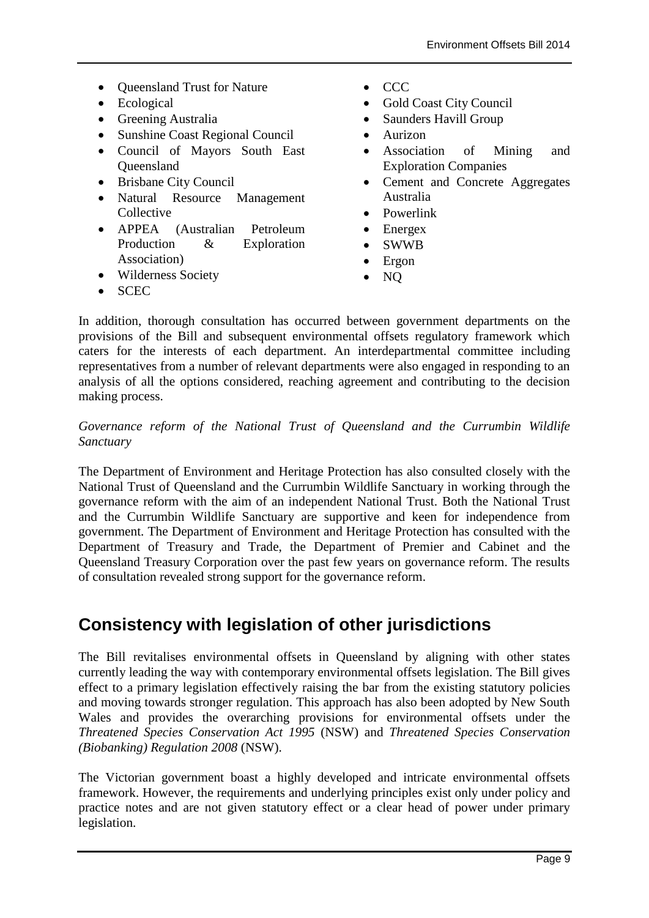- Queensland Trust for Nature
- Ecological
- Greening Australia
- Sunshine Coast Regional Council
- Council of Mayors South East **Oueensland**
- Brisbane City Council
- Natural Resource Management **Collective**
- APPEA (Australian Petroleum Production & Exploration Association)
- Wilderness Society
- CCC
- Gold Coast City Council
- Saunders Havill Group
- Aurizon
- Association of Mining and Exploration Companies
- Cement and Concrete Aggregates Australia
- Powerlink
- Energex
- SWWB
- Ergon
- NQ

**SCEC** 

In addition, thorough consultation has occurred between government departments on the provisions of the Bill and subsequent environmental offsets regulatory framework which caters for the interests of each department. An interdepartmental committee including representatives from a number of relevant departments were also engaged in responding to an analysis of all the options considered, reaching agreement and contributing to the decision making process.

### *Governance reform of the National Trust of Queensland and the Currumbin Wildlife Sanctuary*

The Department of Environment and Heritage Protection has also consulted closely with the National Trust of Queensland and the Currumbin Wildlife Sanctuary in working through the governance reform with the aim of an independent National Trust. Both the National Trust and the Currumbin Wildlife Sanctuary are supportive and keen for independence from government. The Department of Environment and Heritage Protection has consulted with the Department of Treasury and Trade, the Department of Premier and Cabinet and the Queensland Treasury Corporation over the past few years on governance reform. The results of consultation revealed strong support for the governance reform.

## **Consistency with legislation of other jurisdictions**

The Bill revitalises environmental offsets in Queensland by aligning with other states currently leading the way with contemporary environmental offsets legislation. The Bill gives effect to a primary legislation effectively raising the bar from the existing statutory policies and moving towards stronger regulation. This approach has also been adopted by New South Wales and provides the overarching provisions for environmental offsets under the *Threatened Species Conservation Act 1995* (NSW) and *Threatened Species Conservation (Biobanking) Regulation 2008* (NSW).

The Victorian government boast a highly developed and intricate environmental offsets framework. However, the requirements and underlying principles exist only under policy and practice notes and are not given statutory effect or a clear head of power under primary legislation.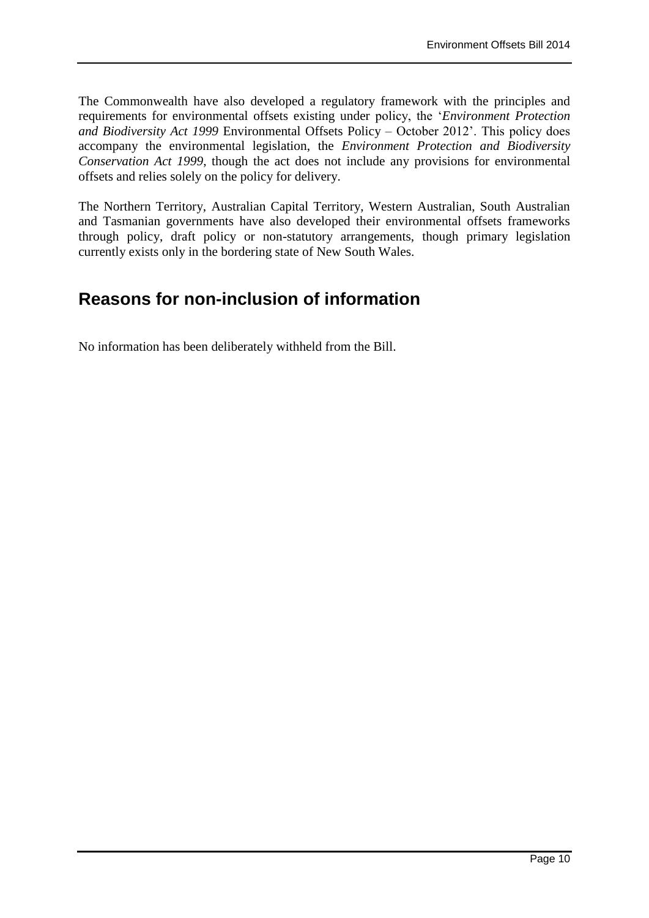The Commonwealth have also developed a regulatory framework with the principles and requirements for environmental offsets existing under policy, the '*Environment Protection and Biodiversity Act 1999* Environmental Offsets Policy – October 2012'. This policy does accompany the environmental legislation, the *Environment Protection and Biodiversity Conservation Act 1999*, though the act does not include any provisions for environmental offsets and relies solely on the policy for delivery.

The Northern Territory, Australian Capital Territory, Western Australian, South Australian and Tasmanian governments have also developed their environmental offsets frameworks through policy, draft policy or non-statutory arrangements, though primary legislation currently exists only in the bordering state of New South Wales.

## **Reasons for non-inclusion of information**

No information has been deliberately withheld from the Bill.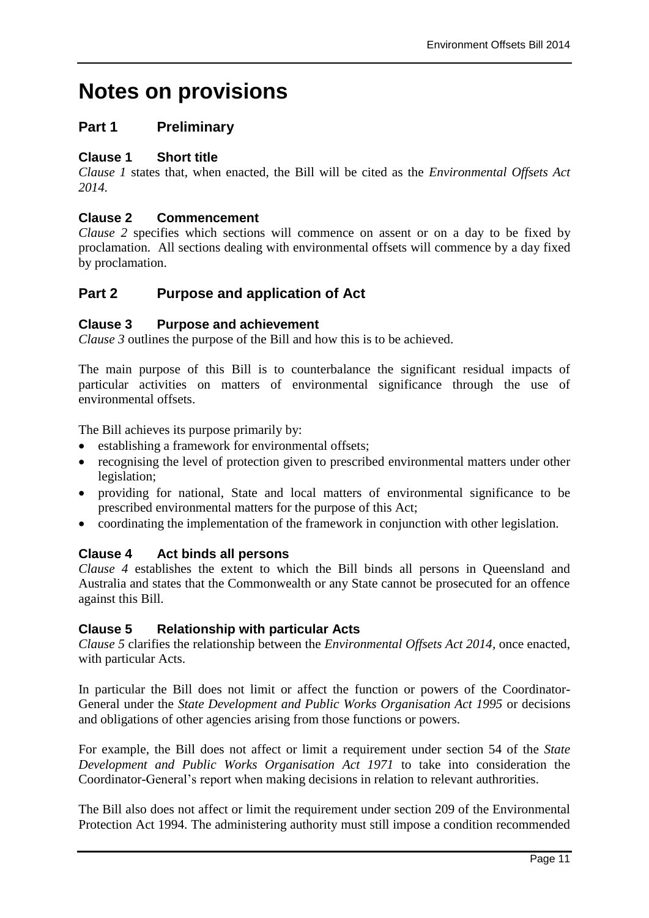# **Notes on provisions**

## **Part 1 Preliminary**

### **Clause 1 Short title**

*Clause 1* states that, when enacted, the Bill will be cited as the *Environmental Offsets Act 2014.*

## **Clause 2 Commencement**

*Clause 2* specifies which sections will commence on assent or on a day to be fixed by proclamation. All sections dealing with environmental offsets will commence by a day fixed by proclamation.

## **Part 2 Purpose and application of Act**

## **Clause 3 Purpose and achievement**

*Clause 3* outlines the purpose of the Bill and how this is to be achieved.

The main purpose of this Bill is to counterbalance the significant residual impacts of particular activities on matters of environmental significance through the use of environmental offsets.

The Bill achieves its purpose primarily by:

- establishing a framework for environmental offsets;
- recognising the level of protection given to prescribed environmental matters under other legislation;
- providing for national, State and local matters of environmental significance to be prescribed environmental matters for the purpose of this Act;
- coordinating the implementation of the framework in conjunction with other legislation.

## **Clause 4 Act binds all persons**

*Clause 4* establishes the extent to which the Bill binds all persons in Queensland and Australia and states that the Commonwealth or any State cannot be prosecuted for an offence against this Bill.

## **Clause 5 Relationship with particular Acts**

*Clause 5* clarifies the relationship between the *Environmental Offsets Act 2014,* once enacted, with particular Acts.

In particular the Bill does not limit or affect the function or powers of the Coordinator-General under the *State Development and Public Works Organisation Act 1995* or decisions and obligations of other agencies arising from those functions or powers.

For example, the Bill does not affect or limit a requirement under section 54 of the *State Development and Public Works Organisation Act 1971* to take into consideration the Coordinator-General's report when making decisions in relation to relevant authrorities.

The Bill also does not affect or limit the requirement under section 209 of the Environmental Protection Act 1994. The administering authority must still impose a condition recommended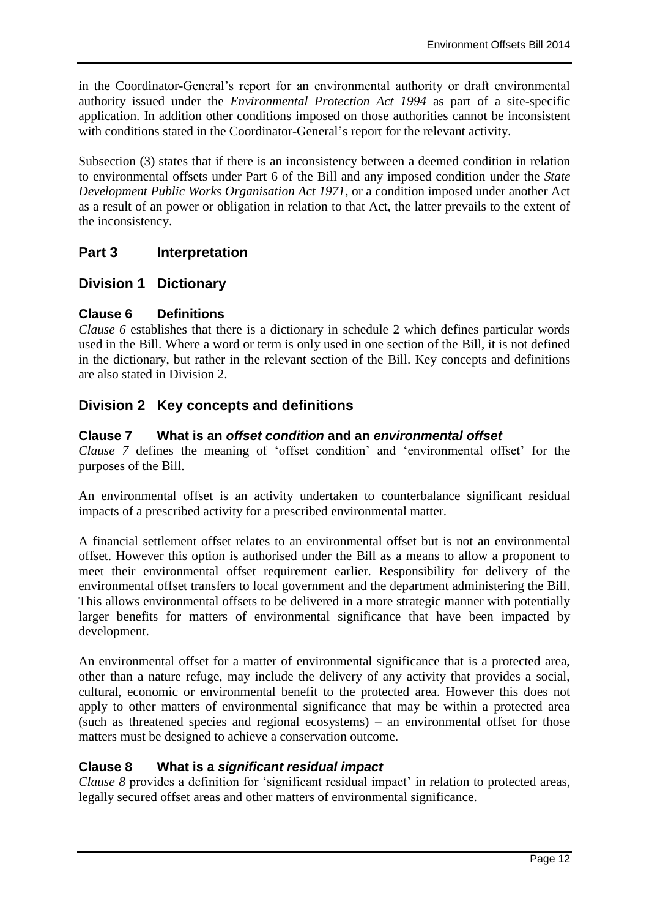in the Coordinator-General's report for an environmental authority or draft environmental authority issued under the *Environmental Protection Act 1994* as part of a site-specific application. In addition other conditions imposed on those authorities cannot be inconsistent with conditions stated in the Coordinator-General's report for the relevant activity.

Subsection (3) states that if there is an inconsistency between a deemed condition in relation to environmental offsets under Part 6 of the Bill and any imposed condition under the *State Development Public Works Organisation Act 1971,* or a condition imposed under another Act as a result of an power or obligation in relation to that Act, the latter prevails to the extent of the inconsistency.

## **Part 3 Interpretation**

## **Division 1 Dictionary**

## **Clause 6 Definitions**

*Clause 6* establishes that there is a dictionary in schedule 2 which defines particular words used in the Bill. Where a word or term is only used in one section of the Bill, it is not defined in the dictionary, but rather in the relevant section of the Bill. Key concepts and definitions are also stated in Division 2.

## **Division 2 Key concepts and definitions**

## **Clause 7 What is an** *offset condition* **and an** *environmental offset*

*Clause 7* defines the meaning of 'offset condition' and 'environmental offset' for the purposes of the Bill.

An environmental offset is an activity undertaken to counterbalance significant residual impacts of a prescribed activity for a prescribed environmental matter.

A financial settlement offset relates to an environmental offset but is not an environmental offset. However this option is authorised under the Bill as a means to allow a proponent to meet their environmental offset requirement earlier. Responsibility for delivery of the environmental offset transfers to local government and the department administering the Bill. This allows environmental offsets to be delivered in a more strategic manner with potentially larger benefits for matters of environmental significance that have been impacted by development.

An environmental offset for a matter of environmental significance that is a protected area, other than a nature refuge, may include the delivery of any activity that provides a social, cultural, economic or environmental benefit to the protected area. However this does not apply to other matters of environmental significance that may be within a protected area (such as threatened species and regional ecosystems) – an environmental offset for those matters must be designed to achieve a conservation outcome.

## **Clause 8 What is a** *significant residual impact*

*Clause 8* provides a definition for 'significant residual impact' in relation to protected areas, legally secured offset areas and other matters of environmental significance.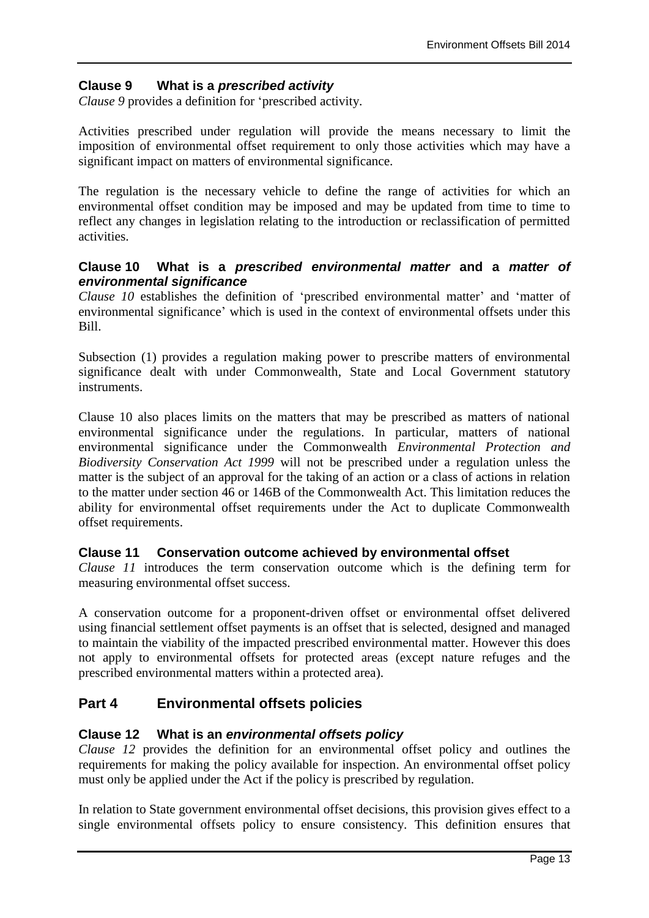## **Clause 9 What is a** *prescribed activity*

*Clause 9* provides a definition for 'prescribed activity.

Activities prescribed under regulation will provide the means necessary to limit the imposition of environmental offset requirement to only those activities which may have a significant impact on matters of environmental significance.

The regulation is the necessary vehicle to define the range of activities for which an environmental offset condition may be imposed and may be updated from time to time to reflect any changes in legislation relating to the introduction or reclassification of permitted activities.

#### **Clause 10 What is a** *prescribed environmental matter* **and a** *matter of environmental significance*

*Clause 10* establishes the definition of 'prescribed environmental matter' and 'matter of environmental significance' which is used in the context of environmental offsets under this Bill.

Subsection (1) provides a regulation making power to prescribe matters of environmental significance dealt with under Commonwealth, State and Local Government statutory instruments.

Clause 10 also places limits on the matters that may be prescribed as matters of national environmental significance under the regulations. In particular, matters of national environmental significance under the Commonwealth *Environmental Protection and Biodiversity Conservation Act 1999* will not be prescribed under a regulation unless the matter is the subject of an approval for the taking of an action or a class of actions in relation to the matter under section 46 or 146B of the Commonwealth Act. This limitation reduces the ability for environmental offset requirements under the Act to duplicate Commonwealth offset requirements.

## **Clause 11 Conservation outcome achieved by environmental offset**

*Clause 11* introduces the term conservation outcome which is the defining term for measuring environmental offset success.

A conservation outcome for a proponent-driven offset or environmental offset delivered using financial settlement offset payments is an offset that is selected, designed and managed to maintain the viability of the impacted prescribed environmental matter. However this does not apply to environmental offsets for protected areas (except nature refuges and the prescribed environmental matters within a protected area).

## **Part 4 Environmental offsets policies**

#### **Clause 12 What is an** *environmental offsets policy*

*Clause 12* provides the definition for an environmental offset policy and outlines the requirements for making the policy available for inspection. An environmental offset policy must only be applied under the Act if the policy is prescribed by regulation.

In relation to State government environmental offset decisions, this provision gives effect to a single environmental offsets policy to ensure consistency. This definition ensures that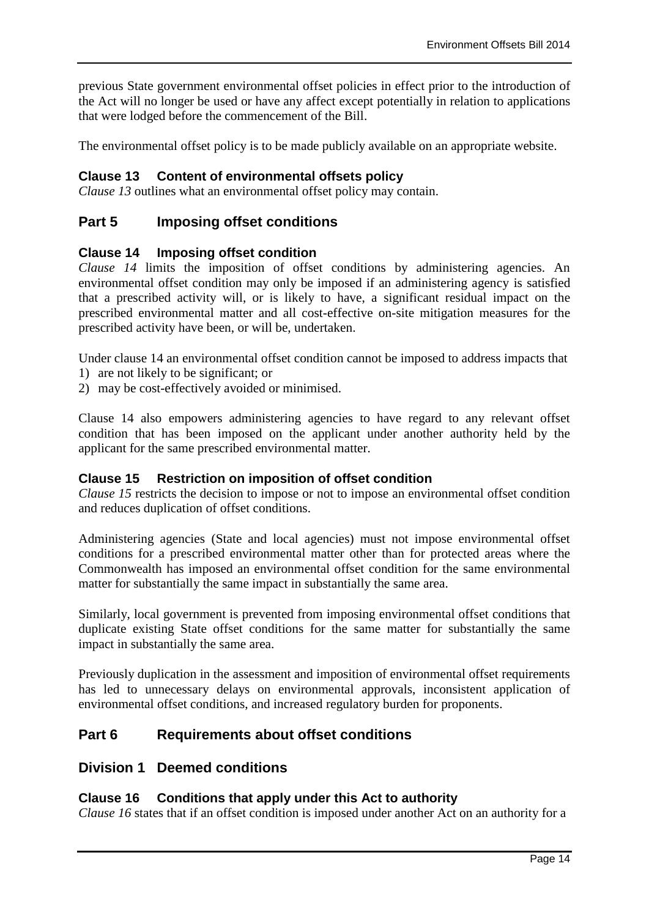previous State government environmental offset policies in effect prior to the introduction of the Act will no longer be used or have any affect except potentially in relation to applications that were lodged before the commencement of the Bill.

The environmental offset policy is to be made publicly available on an appropriate website.

## **Clause 13 Content of environmental offsets policy**

*Clause 13* outlines what an environmental offset policy may contain.

## **Part 5 Imposing offset conditions**

#### **Clause 14 Imposing offset condition**

*Clause 14* limits the imposition of offset conditions by administering agencies. An environmental offset condition may only be imposed if an administering agency is satisfied that a prescribed activity will, or is likely to have, a significant residual impact on the prescribed environmental matter and all cost-effective on-site mitigation measures for the prescribed activity have been, or will be, undertaken.

Under clause 14 an environmental offset condition cannot be imposed to address impacts that

- 1) are not likely to be significant; or
- 2) may be cost-effectively avoided or minimised.

Clause 14 also empowers administering agencies to have regard to any relevant offset condition that has been imposed on the applicant under another authority held by the applicant for the same prescribed environmental matter.

#### **Clause 15 Restriction on imposition of offset condition**

*Clause 15* restricts the decision to impose or not to impose an environmental offset condition and reduces duplication of offset conditions.

Administering agencies (State and local agencies) must not impose environmental offset conditions for a prescribed environmental matter other than for protected areas where the Commonwealth has imposed an environmental offset condition for the same environmental matter for substantially the same impact in substantially the same area.

Similarly, local government is prevented from imposing environmental offset conditions that duplicate existing State offset conditions for the same matter for substantially the same impact in substantially the same area.

Previously duplication in the assessment and imposition of environmental offset requirements has led to unnecessary delays on environmental approvals, inconsistent application of environmental offset conditions, and increased regulatory burden for proponents.

## **Part 6 Requirements about offset conditions**

## **Division 1 Deemed conditions**

## **Clause 16 Conditions that apply under this Act to authority**

*Clause 16* states that if an offset condition is imposed under another Act on an authority for a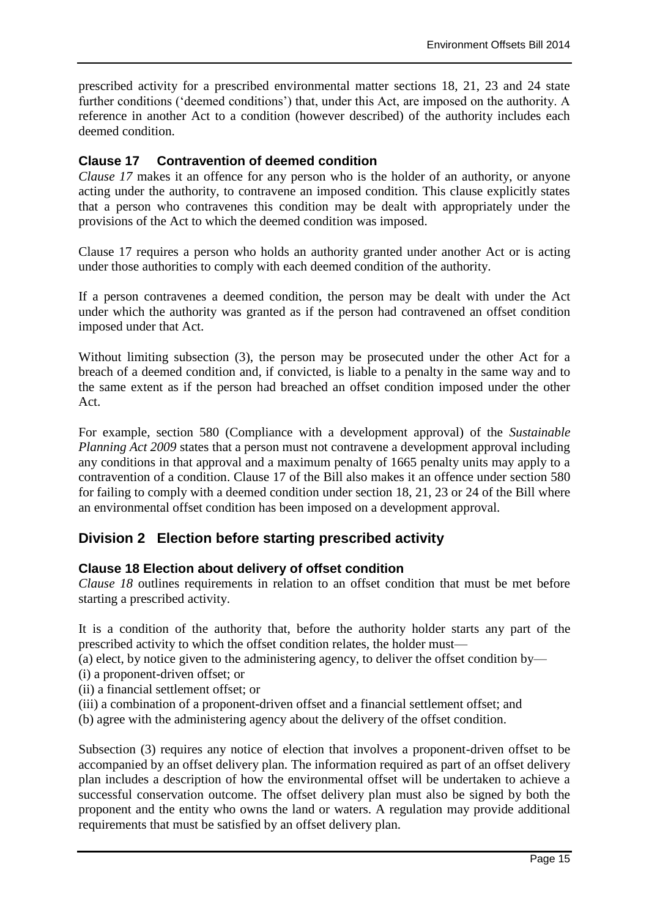prescribed activity for a prescribed environmental matter sections 18, 21, 23 and 24 state further conditions ('deemed conditions') that, under this Act, are imposed on the authority. A reference in another Act to a condition (however described) of the authority includes each deemed condition.

## **Clause 17 Contravention of deemed condition**

*Clause 17* makes it an offence for any person who is the holder of an authority, or anyone acting under the authority, to contravene an imposed condition. This clause explicitly states that a person who contravenes this condition may be dealt with appropriately under the provisions of the Act to which the deemed condition was imposed.

Clause 17 requires a person who holds an authority granted under another Act or is acting under those authorities to comply with each deemed condition of the authority.

If a person contravenes a deemed condition, the person may be dealt with under the Act under which the authority was granted as if the person had contravened an offset condition imposed under that Act.

Without limiting subsection (3), the person may be prosecuted under the other Act for a breach of a deemed condition and, if convicted, is liable to a penalty in the same way and to the same extent as if the person had breached an offset condition imposed under the other Act.

For example, section 580 (Compliance with a development approval) of the *Sustainable Planning Act 2009* states that a person must not contravene a development approval including any conditions in that approval and a maximum penalty of 1665 penalty units may apply to a contravention of a condition. Clause 17 of the Bill also makes it an offence under section 580 for failing to comply with a deemed condition under section 18, 21, 23 or 24 of the Bill where an environmental offset condition has been imposed on a development approval.

## **Division 2 Election before starting prescribed activity**

## **Clause 18 Election about delivery of offset condition**

*Clause 18* outlines requirements in relation to an offset condition that must be met before starting a prescribed activity.

It is a condition of the authority that, before the authority holder starts any part of the prescribed activity to which the offset condition relates, the holder must—

(a) elect, by notice given to the administering agency, to deliver the offset condition by—

- (i) a proponent-driven offset; or
- (ii) a financial settlement offset; or
- (iii) a combination of a proponent-driven offset and a financial settlement offset; and
- (b) agree with the administering agency about the delivery of the offset condition.

Subsection (3) requires any notice of election that involves a proponent-driven offset to be accompanied by an offset delivery plan. The information required as part of an offset delivery plan includes a description of how the environmental offset will be undertaken to achieve a successful conservation outcome. The offset delivery plan must also be signed by both the proponent and the entity who owns the land or waters. A regulation may provide additional requirements that must be satisfied by an offset delivery plan.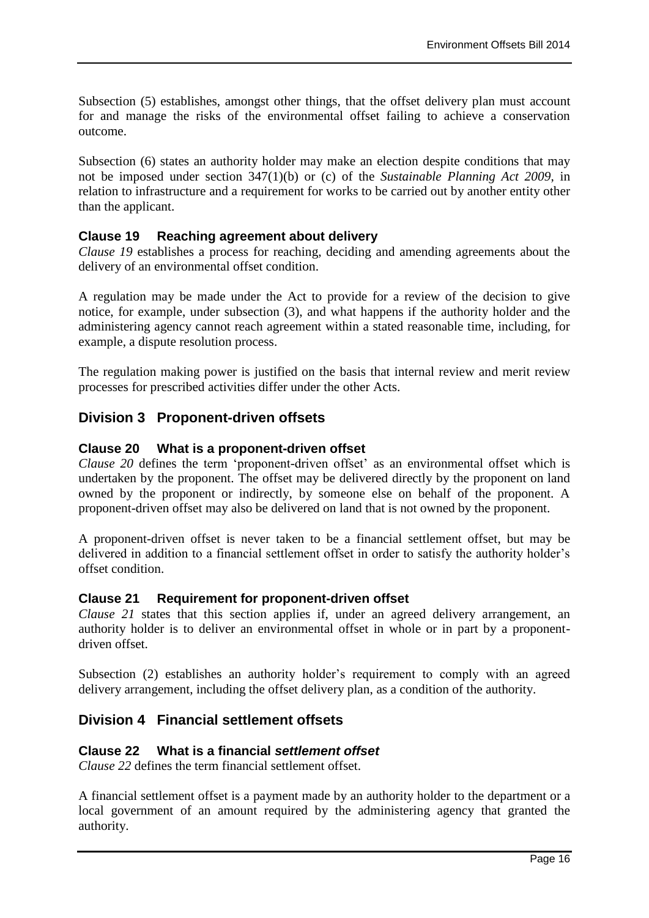Subsection (5) establishes, amongst other things, that the offset delivery plan must account for and manage the risks of the environmental offset failing to achieve a conservation outcome.

Subsection (6) states an authority holder may make an election despite conditions that may not be imposed under section 347(1)(b) or (c) of the *Sustainable Planning Act 2009*, in relation to infrastructure and a requirement for works to be carried out by another entity other than the applicant.

## **Clause 19 Reaching agreement about delivery**

*Clause 19* establishes a process for reaching, deciding and amending agreements about the delivery of an environmental offset condition.

A regulation may be made under the Act to provide for a review of the decision to give notice, for example, under subsection (3), and what happens if the authority holder and the administering agency cannot reach agreement within a stated reasonable time, including, for example, a dispute resolution process.

The regulation making power is justified on the basis that internal review and merit review processes for prescribed activities differ under the other Acts.

## **Division 3 Proponent-driven offsets**

## **Clause 20 What is a proponent-driven offset**

*Clause 20* defines the term 'proponent-driven offset' as an environmental offset which is undertaken by the proponent. The offset may be delivered directly by the proponent on land owned by the proponent or indirectly, by someone else on behalf of the proponent. A proponent-driven offset may also be delivered on land that is not owned by the proponent.

A proponent-driven offset is never taken to be a financial settlement offset, but may be delivered in addition to a financial settlement offset in order to satisfy the authority holder's offset condition.

## **Clause 21 Requirement for proponent-driven offset**

*Clause 21* states that this section applies if, under an agreed delivery arrangement, an authority holder is to deliver an environmental offset in whole or in part by a proponentdriven offset.

Subsection (2) establishes an authority holder's requirement to comply with an agreed delivery arrangement, including the offset delivery plan, as a condition of the authority.

## **Division 4 Financial settlement offsets**

#### **Clause 22 What is a financial** *settlement offset*

*Clause 22* defines the term financial settlement offset.

A financial settlement offset is a payment made by an authority holder to the department or a local government of an amount required by the administering agency that granted the authority.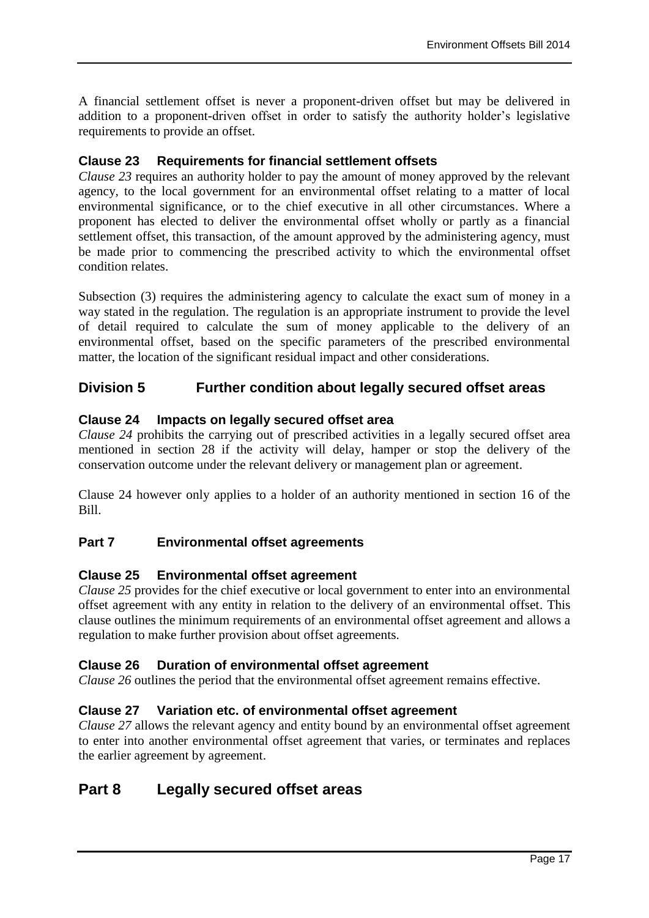A financial settlement offset is never a proponent-driven offset but may be delivered in addition to a proponent-driven offset in order to satisfy the authority holder's legislative requirements to provide an offset.

## **Clause 23 Requirements for financial settlement offsets**

*Clause 23* requires an authority holder to pay the amount of money approved by the relevant agency, to the local government for an environmental offset relating to a matter of local environmental significance, or to the chief executive in all other circumstances. Where a proponent has elected to deliver the environmental offset wholly or partly as a financial settlement offset, this transaction, of the amount approved by the administering agency, must be made prior to commencing the prescribed activity to which the environmental offset condition relates.

Subsection (3) requires the administering agency to calculate the exact sum of money in a way stated in the regulation. The regulation is an appropriate instrument to provide the level of detail required to calculate the sum of money applicable to the delivery of an environmental offset, based on the specific parameters of the prescribed environmental matter, the location of the significant residual impact and other considerations.

## **Division 5 Further condition about legally secured offset areas**

#### **Clause 24 Impacts on legally secured offset area**

*Clause 24* prohibits the carrying out of prescribed activities in a legally secured offset area mentioned in section 28 if the activity will delay, hamper or stop the delivery of the conservation outcome under the relevant delivery or management plan or agreement.

Clause 24 however only applies to a holder of an authority mentioned in section 16 of the Bill.

## **Part 7 Environmental offset agreements**

#### **Clause 25 Environmental offset agreement**

*Clause 25* provides for the chief executive or local government to enter into an environmental offset agreement with any entity in relation to the delivery of an environmental offset. This clause outlines the minimum requirements of an environmental offset agreement and allows a regulation to make further provision about offset agreements.

## **Clause 26 Duration of environmental offset agreement**

*Clause 26* outlines the period that the environmental offset agreement remains effective.

## **Clause 27 Variation etc. of environmental offset agreement**

*Clause 27* allows the relevant agency and entity bound by an environmental offset agreement to enter into another environmental offset agreement that varies, or terminates and replaces the earlier agreement by agreement.

## **Part 8 Legally secured offset areas**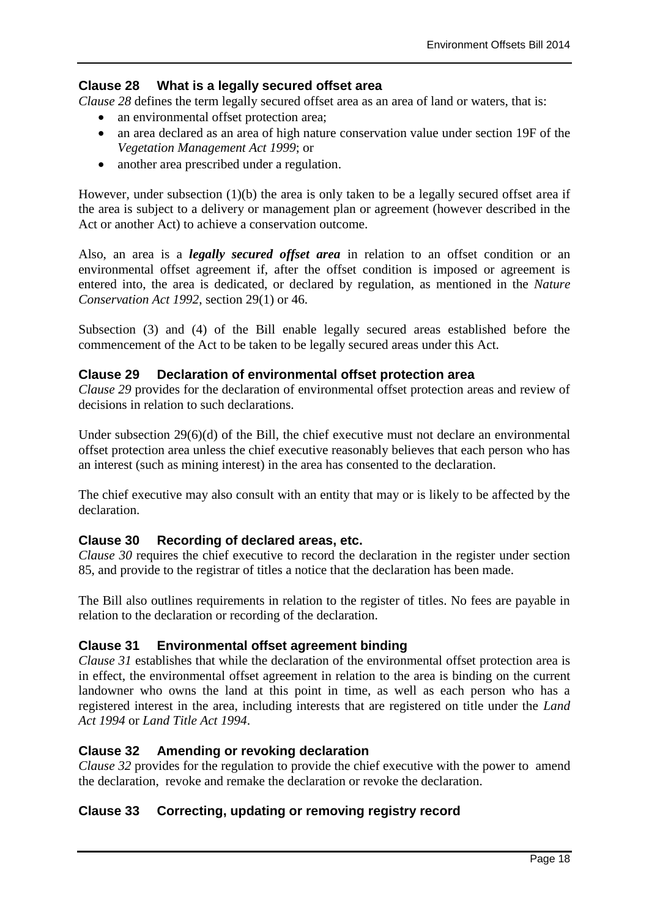## **Clause 28 What is a legally secured offset area**

*Clause 28* defines the term legally secured offset area as an area of land or waters, that is:

- an environmental offset protection area;
- an area declared as an area of high nature conservation value under section 19F of the *Vegetation Management Act 1999*; or
- another area prescribed under a regulation.

However, under subsection (1)(b) the area is only taken to be a legally secured offset area if the area is subject to a delivery or management plan or agreement (however described in the Act or another Act) to achieve a conservation outcome.

Also, an area is a *legally secured offset area* in relation to an offset condition or an environmental offset agreement if, after the offset condition is imposed or agreement is entered into, the area is dedicated, or declared by regulation, as mentioned in the *Nature Conservation Act 1992*, section 29(1) or 46.

Subsection (3) and (4) of the Bill enable legally secured areas established before the commencement of the Act to be taken to be legally secured areas under this Act.

#### **Clause 29 Declaration of environmental offset protection area**

*Clause 29* provides for the declaration of environmental offset protection areas and review of decisions in relation to such declarations.

Under subsection  $29(6)(d)$  of the Bill, the chief executive must not declare an environmental offset protection area unless the chief executive reasonably believes that each person who has an interest (such as mining interest) in the area has consented to the declaration.

The chief executive may also consult with an entity that may or is likely to be affected by the declaration.

## **Clause 30 Recording of declared areas, etc.**

*Clause 30* requires the chief executive to record the declaration in the register under section 85, and provide to the registrar of titles a notice that the declaration has been made.

The Bill also outlines requirements in relation to the register of titles. No fees are payable in relation to the declaration or recording of the declaration.

## **Clause 31 Environmental offset agreement binding**

*Clause 31* establishes that while the declaration of the environmental offset protection area is in effect, the environmental offset agreement in relation to the area is binding on the current landowner who owns the land at this point in time, as well as each person who has a registered interest in the area, including interests that are registered on title under the *Land Act 1994* or *Land Title Act 1994*.

#### **Clause 32 Amending or revoking declaration**

*Clause 32* provides for the regulation to provide the chief executive with the power to amend the declaration, revoke and remake the declaration or revoke the declaration.

## **Clause 33 Correcting, updating or removing registry record**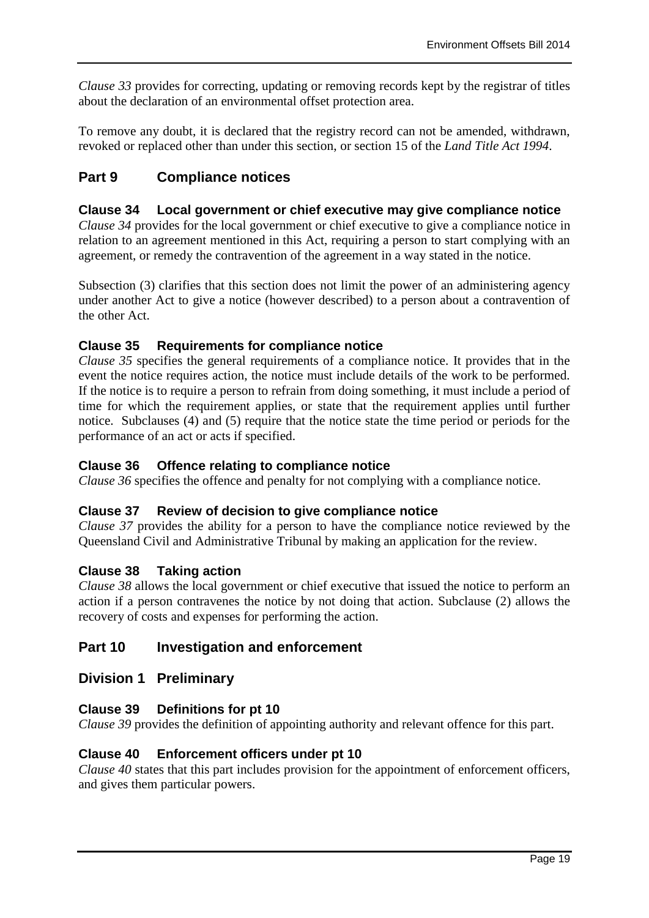*Clause 33* provides for correcting, updating or removing records kept by the registrar of titles about the declaration of an environmental offset protection area.

To remove any doubt, it is declared that the registry record can not be amended, withdrawn, revoked or replaced other than under this section, or section 15 of the *Land Title Act 1994*.

## **Part 9 Compliance notices**

### **Clause 34 Local government or chief executive may give compliance notice**

*Clause 34* provides for the local government or chief executive to give a compliance notice in relation to an agreement mentioned in this Act, requiring a person to start complying with an agreement, or remedy the contravention of the agreement in a way stated in the notice.

Subsection (3) clarifies that this section does not limit the power of an administering agency under another Act to give a notice (however described) to a person about a contravention of the other Act.

## **Clause 35 Requirements for compliance notice**

*Clause 35* specifies the general requirements of a compliance notice. It provides that in the event the notice requires action, the notice must include details of the work to be performed. If the notice is to require a person to refrain from doing something, it must include a period of time for which the requirement applies, or state that the requirement applies until further notice. Subclauses (4) and (5) require that the notice state the time period or periods for the performance of an act or acts if specified.

### **Clause 36 Offence relating to compliance notice**

*Clause 36* specifies the offence and penalty for not complying with a compliance notice.

#### **Clause 37 Review of decision to give compliance notice**

*Clause 37* provides the ability for a person to have the compliance notice reviewed by the Queensland Civil and Administrative Tribunal by making an application for the review.

## **Clause 38 Taking action**

*Clause 38* allows the local government or chief executive that issued the notice to perform an action if a person contravenes the notice by not doing that action. Subclause (2) allows the recovery of costs and expenses for performing the action.

## **Part 10 Investigation and enforcement**

## **Division 1 Preliminary**

## **Clause 39 Definitions for pt 10**

*Clause 39* provides the definition of appointing authority and relevant offence for this part.

## **Clause 40 Enforcement officers under pt 10**

*Clause 40* states that this part includes provision for the appointment of enforcement officers, and gives them particular powers.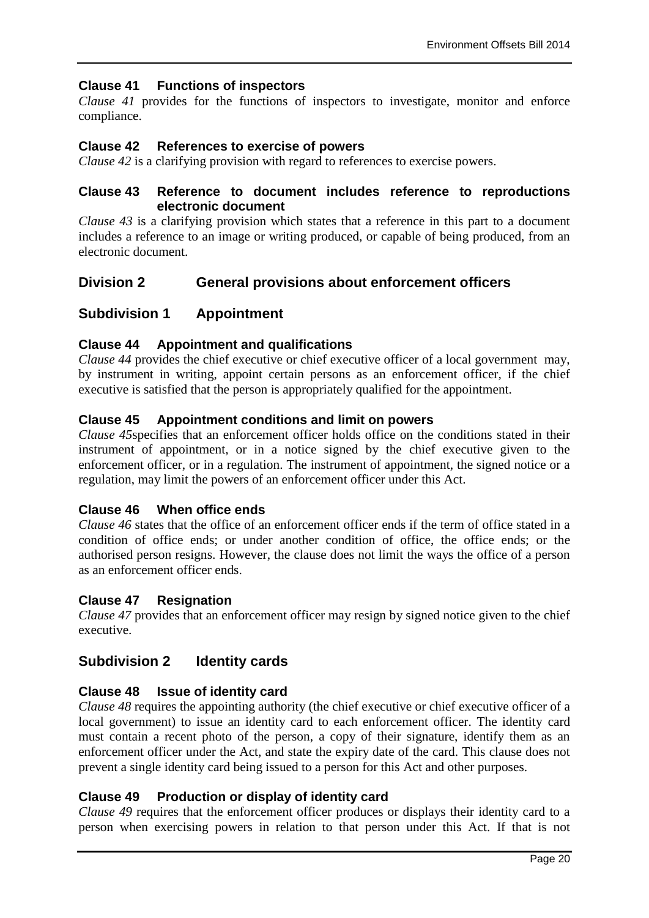## **Clause 41 Functions of inspectors**

*Clause 41* provides for the functions of inspectors to investigate, monitor and enforce compliance.

### **Clause 42 References to exercise of powers**

*Clause 42* is a clarifying provision with regard to references to exercise powers.

#### **Clause 43 Reference to document includes reference to reproductions electronic document**

*Clause 43* is a clarifying provision which states that a reference in this part to a document includes a reference to an image or writing produced, or capable of being produced, from an electronic document.

## **Division 2 General provisions about enforcement officers**

## **Subdivision 1 Appointment**

#### **Clause 44 Appointment and qualifications**

*Clause 44* provides the chief executive or chief executive officer of a local government may, by instrument in writing, appoint certain persons as an enforcement officer, if the chief executive is satisfied that the person is appropriately qualified for the appointment.

#### **Clause 45 Appointment conditions and limit on powers**

*Clause 45*specifies that an enforcement officer holds office on the conditions stated in their instrument of appointment, or in a notice signed by the chief executive given to the enforcement officer, or in a regulation. The instrument of appointment, the signed notice or a regulation, may limit the powers of an enforcement officer under this Act.

#### **Clause 46 When office ends**

*Clause 46* states that the office of an enforcement officer ends if the term of office stated in a condition of office ends; or under another condition of office, the office ends; or the authorised person resigns. However, the clause does not limit the ways the office of a person as an enforcement officer ends.

#### **Clause 47 Resignation**

*Clause 47* provides that an enforcement officer may resign by signed notice given to the chief executive.

## **Subdivision 2 Identity cards**

#### **Clause 48 Issue of identity card**

*Clause 48* requires the appointing authority (the chief executive or chief executive officer of a local government) to issue an identity card to each enforcement officer. The identity card must contain a recent photo of the person, a copy of their signature, identify them as an enforcement officer under the Act, and state the expiry date of the card. This clause does not prevent a single identity card being issued to a person for this Act and other purposes.

#### **Clause 49 Production or display of identity card**

*Clause 49* requires that the enforcement officer produces or displays their identity card to a person when exercising powers in relation to that person under this Act. If that is not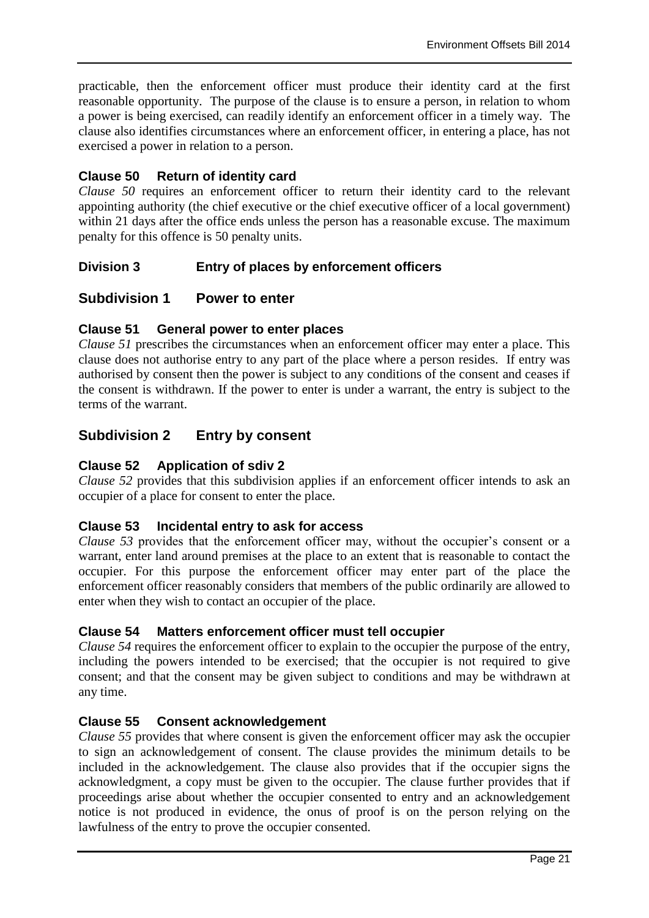practicable, then the enforcement officer must produce their identity card at the first reasonable opportunity. The purpose of the clause is to ensure a person, in relation to whom a power is being exercised, can readily identify an enforcement officer in a timely way. The clause also identifies circumstances where an enforcement officer, in entering a place, has not exercised a power in relation to a person.

## **Clause 50 Return of identity card**

*Clause 50* requires an enforcement officer to return their identity card to the relevant appointing authority (the chief executive or the chief executive officer of a local government) within 21 days after the office ends unless the person has a reasonable excuse. The maximum penalty for this offence is 50 penalty units.

## **Division 3 Entry of places by enforcement officers**

## **Subdivision 1 Power to enter**

## **Clause 51 General power to enter places**

*Clause 51* prescribes the circumstances when an enforcement officer may enter a place. This clause does not authorise entry to any part of the place where a person resides. If entry was authorised by consent then the power is subject to any conditions of the consent and ceases if the consent is withdrawn. If the power to enter is under a warrant, the entry is subject to the terms of the warrant.

## **Subdivision 2 Entry by consent**

## **Clause 52 Application of sdiv 2**

*Clause 52* provides that this subdivision applies if an enforcement officer intends to ask an occupier of a place for consent to enter the place.

## **Clause 53 Incidental entry to ask for access**

*Clause 53* provides that the enforcement officer may, without the occupier's consent or a warrant, enter land around premises at the place to an extent that is reasonable to contact the occupier. For this purpose the enforcement officer may enter part of the place the enforcement officer reasonably considers that members of the public ordinarily are allowed to enter when they wish to contact an occupier of the place.

## **Clause 54 Matters enforcement officer must tell occupier**

*Clause 54* requires the enforcement officer to explain to the occupier the purpose of the entry, including the powers intended to be exercised; that the occupier is not required to give consent; and that the consent may be given subject to conditions and may be withdrawn at any time.

## **Clause 55 Consent acknowledgement**

*Clause 55* provides that where consent is given the enforcement officer may ask the occupier to sign an acknowledgement of consent. The clause provides the minimum details to be included in the acknowledgement. The clause also provides that if the occupier signs the acknowledgment, a copy must be given to the occupier. The clause further provides that if proceedings arise about whether the occupier consented to entry and an acknowledgement notice is not produced in evidence, the onus of proof is on the person relying on the lawfulness of the entry to prove the occupier consented.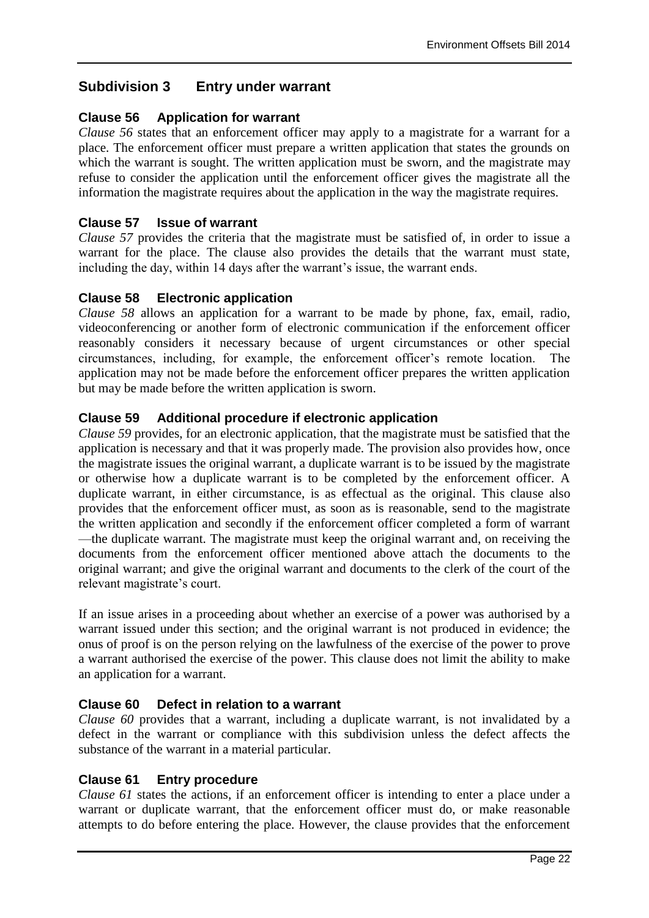## **Subdivision 3 Entry under warrant**

## **Clause 56 Application for warrant**

*Clause 56* states that an enforcement officer may apply to a magistrate for a warrant for a place. The enforcement officer must prepare a written application that states the grounds on which the warrant is sought. The written application must be sworn, and the magistrate may refuse to consider the application until the enforcement officer gives the magistrate all the information the magistrate requires about the application in the way the magistrate requires.

## **Clause 57 Issue of warrant**

*Clause 57* provides the criteria that the magistrate must be satisfied of, in order to issue a warrant for the place. The clause also provides the details that the warrant must state, including the day, within 14 days after the warrant's issue, the warrant ends.

## **Clause 58 Electronic application**

*Clause 58* allows an application for a warrant to be made by phone, fax, email, radio, videoconferencing or another form of electronic communication if the enforcement officer reasonably considers it necessary because of urgent circumstances or other special circumstances, including, for example, the enforcement officer's remote location. The application may not be made before the enforcement officer prepares the written application but may be made before the written application is sworn.

## **Clause 59 Additional procedure if electronic application**

*Clause 59* provides, for an electronic application, that the magistrate must be satisfied that the application is necessary and that it was properly made. The provision also provides how, once the magistrate issues the original warrant, a duplicate warrant is to be issued by the magistrate or otherwise how a duplicate warrant is to be completed by the enforcement officer. A duplicate warrant, in either circumstance, is as effectual as the original. This clause also provides that the enforcement officer must, as soon as is reasonable, send to the magistrate the written application and secondly if the enforcement officer completed a form of warrant —the duplicate warrant. The magistrate must keep the original warrant and, on receiving the documents from the enforcement officer mentioned above attach the documents to the original warrant; and give the original warrant and documents to the clerk of the court of the relevant magistrate's court.

If an issue arises in a proceeding about whether an exercise of a power was authorised by a warrant issued under this section; and the original warrant is not produced in evidence; the onus of proof is on the person relying on the lawfulness of the exercise of the power to prove a warrant authorised the exercise of the power. This clause does not limit the ability to make an application for a warrant.

## **Clause 60 Defect in relation to a warrant**

*Clause 60* provides that a warrant, including a duplicate warrant, is not invalidated by a defect in the warrant or compliance with this subdivision unless the defect affects the substance of the warrant in a material particular.

## **Clause 61 Entry procedure**

*Clause 61* states the actions, if an enforcement officer is intending to enter a place under a warrant or duplicate warrant, that the enforcement officer must do, or make reasonable attempts to do before entering the place. However, the clause provides that the enforcement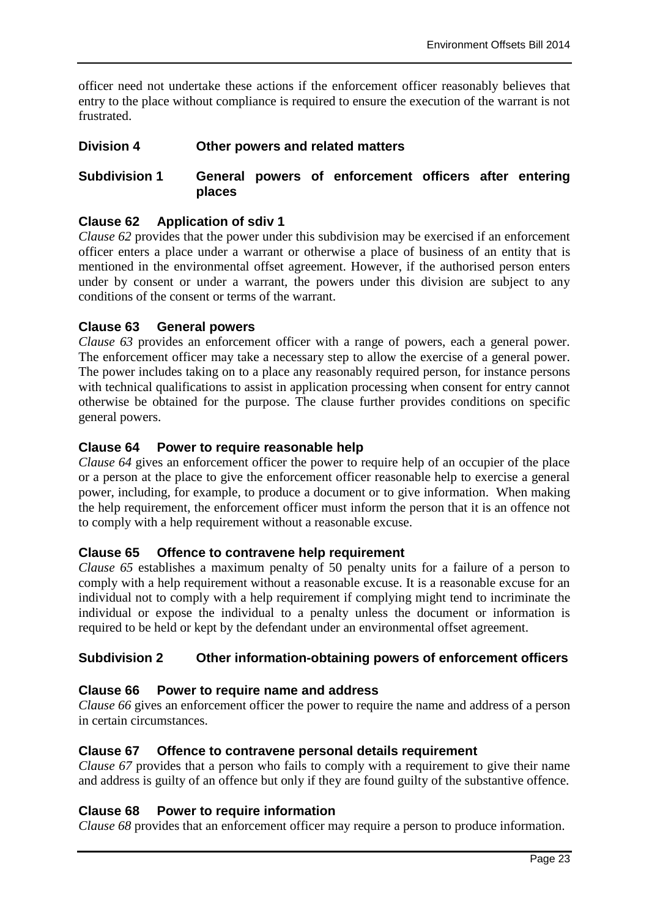officer need not undertake these actions if the enforcement officer reasonably believes that entry to the place without compliance is required to ensure the execution of the warrant is not frustrated.

## **Division 4 Other powers and related matters**

## **Subdivision 1 General powers of enforcement officers after entering places**

## **Clause 62 Application of sdiv 1**

*Clause 62* provides that the power under this subdivision may be exercised if an enforcement officer enters a place under a warrant or otherwise a place of business of an entity that is mentioned in the environmental offset agreement. However, if the authorised person enters under by consent or under a warrant, the powers under this division are subject to any conditions of the consent or terms of the warrant.

## **Clause 63 General powers**

*Clause 63* provides an enforcement officer with a range of powers, each a general power. The enforcement officer may take a necessary step to allow the exercise of a general power. The power includes taking on to a place any reasonably required person, for instance persons with technical qualifications to assist in application processing when consent for entry cannot otherwise be obtained for the purpose. The clause further provides conditions on specific general powers.

## **Clause 64 Power to require reasonable help**

*Clause 64* gives an enforcement officer the power to require help of an occupier of the place or a person at the place to give the enforcement officer reasonable help to exercise a general power, including, for example, to produce a document or to give information. When making the help requirement, the enforcement officer must inform the person that it is an offence not to comply with a help requirement without a reasonable excuse.

## **Clause 65 Offence to contravene help requirement**

*Clause 65* establishes a maximum penalty of 50 penalty units for a failure of a person to comply with a help requirement without a reasonable excuse. It is a reasonable excuse for an individual not to comply with a help requirement if complying might tend to incriminate the individual or expose the individual to a penalty unless the document or information is required to be held or kept by the defendant under an environmental offset agreement.

## **Subdivision 2 Other information-obtaining powers of enforcement officers**

## **Clause 66 Power to require name and address**

*Clause 66* gives an enforcement officer the power to require the name and address of a person in certain circumstances.

#### **Clause 67 Offence to contravene personal details requirement**

*Clause 67* provides that a person who fails to comply with a requirement to give their name and address is guilty of an offence but only if they are found guilty of the substantive offence.

## **Clause 68 Power to require information**

*Clause 68* provides that an enforcement officer may require a person to produce information.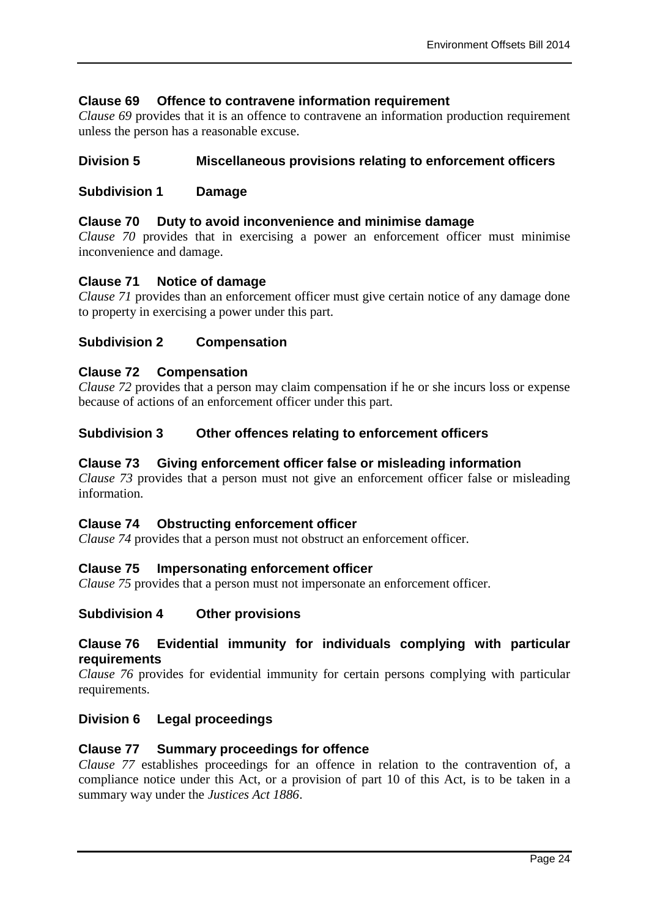## **Clause 69 Offence to contravene information requirement**

*Clause 69* provides that it is an offence to contravene an information production requirement unless the person has a reasonable excuse.

## **Division 5 Miscellaneous provisions relating to enforcement officers**

#### **Subdivision 1 Damage**

#### **Clause 70 Duty to avoid inconvenience and minimise damage**

*Clause 70* provides that in exercising a power an enforcement officer must minimise inconvenience and damage.

#### **Clause 71 Notice of damage**

*Clause 71* provides than an enforcement officer must give certain notice of any damage done to property in exercising a power under this part.

#### **Subdivision 2 Compensation**

#### **Clause 72 Compensation**

*Clause 72* provides that a person may claim compensation if he or she incurs loss or expense because of actions of an enforcement officer under this part.

#### **Subdivision 3 Other offences relating to enforcement officers**

#### **Clause 73 Giving enforcement officer false or misleading information**

*Clause 73* provides that a person must not give an enforcement officer false or misleading information.

#### **Clause 74 Obstructing enforcement officer**

*Clause 74* provides that a person must not obstruct an enforcement officer.

#### **Clause 75 Impersonating enforcement officer**

*Clause 75* provides that a person must not impersonate an enforcement officer.

## **Subdivision 4 Other provisions**

#### **Clause 76 Evidential immunity for individuals complying with particular requirements**

*Clause 76* provides for evidential immunity for certain persons complying with particular requirements.

#### **Division 6 Legal proceedings**

#### **Clause 77 Summary proceedings for offence**

*Clause 77* establishes proceedings for an offence in relation to the contravention of, a compliance notice under this Act, or a provision of part 10 of this Act, is to be taken in a summary way under the *Justices Act 1886*.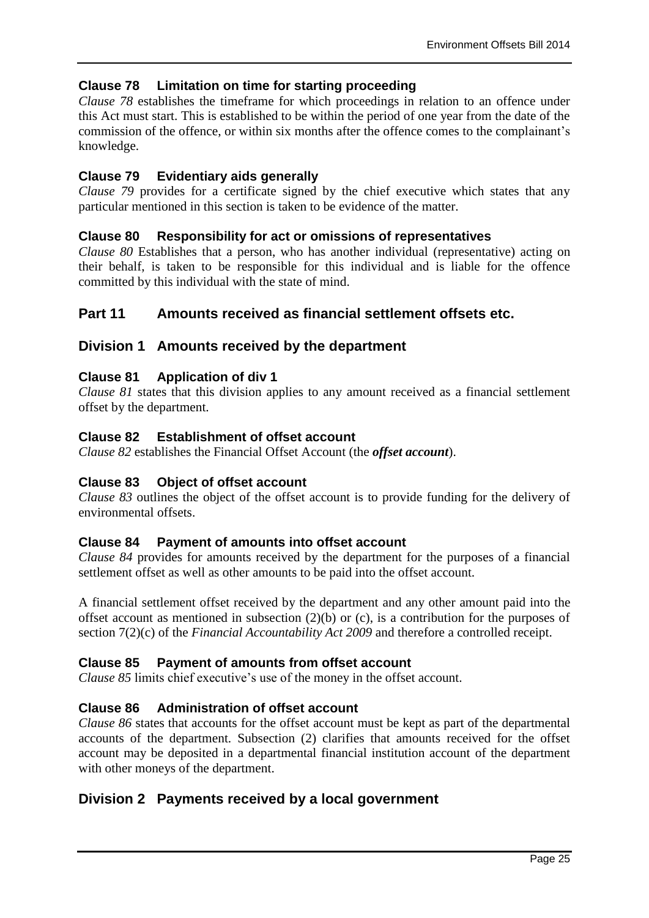## **Clause 78 Limitation on time for starting proceeding**

*Clause 78* establishes the timeframe for which proceedings in relation to an offence under this Act must start. This is established to be within the period of one year from the date of the commission of the offence, or within six months after the offence comes to the complainant's knowledge.

## **Clause 79 Evidentiary aids generally**

*Clause 79* provides for a certificate signed by the chief executive which states that any particular mentioned in this section is taken to be evidence of the matter.

## **Clause 80 Responsibility for act or omissions of representatives**

*Clause 80* Establishes that a person, who has another individual (representative) acting on their behalf, is taken to be responsible for this individual and is liable for the offence committed by this individual with the state of mind.

## **Part 11 Amounts received as financial settlement offsets etc.**

## **Division 1 Amounts received by the department**

## **Clause 81 Application of div 1**

*Clause 81* states that this division applies to any amount received as a financial settlement offset by the department.

#### **Clause 82 Establishment of offset account**

*Clause 82* establishes the Financial Offset Account (the *offset account*).

#### **Clause 83 Object of offset account**

*Clause 83* outlines the object of the offset account is to provide funding for the delivery of environmental offsets.

## **Clause 84 Payment of amounts into offset account**

*Clause 84* provides for amounts received by the department for the purposes of a financial settlement offset as well as other amounts to be paid into the offset account.

A financial settlement offset received by the department and any other amount paid into the offset account as mentioned in subsection  $(2)(b)$  or  $(c)$ , is a contribution for the purposes of section 7(2)(c) of the *Financial Accountability Act 2009* and therefore a controlled receipt.

## **Clause 85 Payment of amounts from offset account**

*Clause 85* limits chief executive's use of the money in the offset account.

#### **Clause 86 Administration of offset account**

*Clause 86* states that accounts for the offset account must be kept as part of the departmental accounts of the department. Subsection (2) clarifies that amounts received for the offset account may be deposited in a departmental financial institution account of the department with other moneys of the department.

## **Division 2 Payments received by a local government**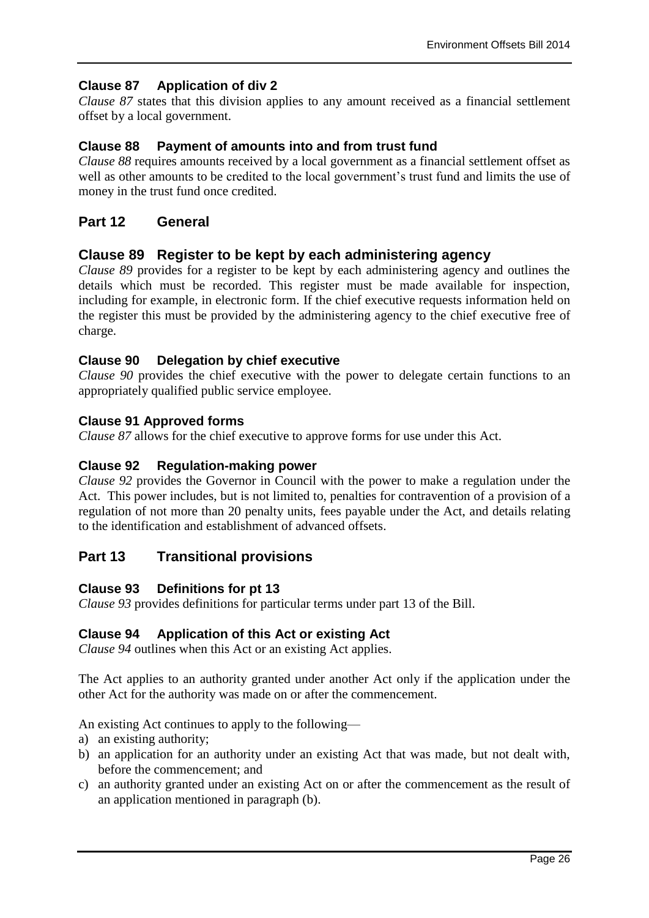## **Clause 87 Application of div 2**

*Clause 87* states that this division applies to any amount received as a financial settlement offset by a local government.

## **Clause 88 Payment of amounts into and from trust fund**

*Clause 88* requires amounts received by a local government as a financial settlement offset as well as other amounts to be credited to the local government's trust fund and limits the use of money in the trust fund once credited.

## **Part 12 General**

## **Clause 89 Register to be kept by each administering agency**

*Clause 89* provides for a register to be kept by each administering agency and outlines the details which must be recorded. This register must be made available for inspection, including for example, in electronic form. If the chief executive requests information held on the register this must be provided by the administering agency to the chief executive free of charge.

## **Clause 90 Delegation by chief executive**

*Clause 90* provides the chief executive with the power to delegate certain functions to an appropriately qualified public service employee.

#### **Clause 91 Approved forms**

*Clause 87* allows for the chief executive to approve forms for use under this Act.

### **Clause 92 Regulation-making power**

*Clause 92* provides the Governor in Council with the power to make a regulation under the Act. This power includes, but is not limited to, penalties for contravention of a provision of a regulation of not more than 20 penalty units, fees payable under the Act, and details relating to the identification and establishment of advanced offsets.

## **Part 13 Transitional provisions**

## **Clause 93 Definitions for pt 13**

*Clause 93* provides definitions for particular terms under part 13 of the Bill.

#### **Clause 94 Application of this Act or existing Act**

*Clause 94* outlines when this Act or an existing Act applies.

The Act applies to an authority granted under another Act only if the application under the other Act for the authority was made on or after the commencement.

An existing Act continues to apply to the following—

- a) an existing authority;
- b) an application for an authority under an existing Act that was made, but not dealt with, before the commencement; and
- c) an authority granted under an existing Act on or after the commencement as the result of an application mentioned in paragraph (b).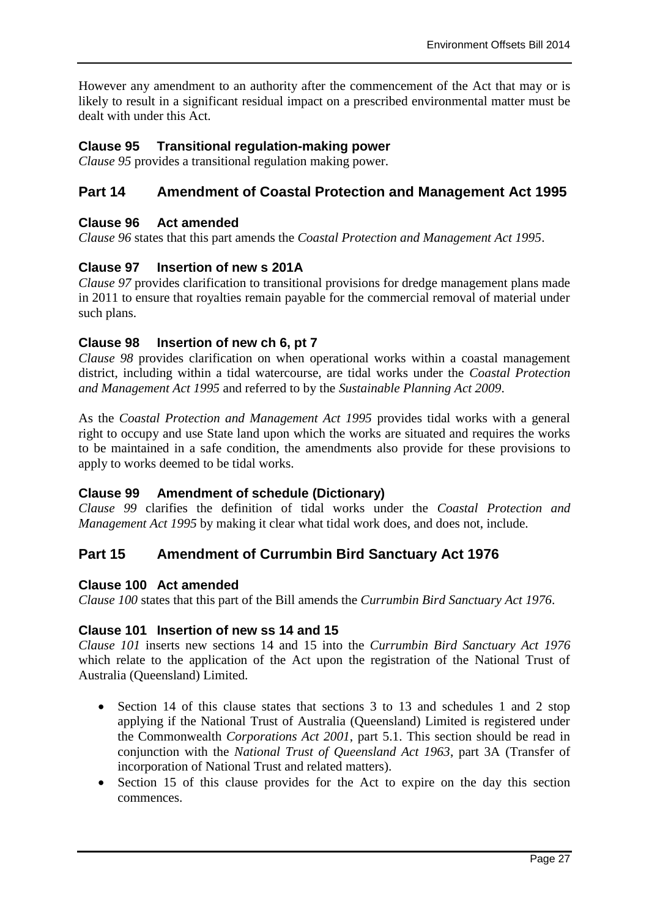However any amendment to an authority after the commencement of the Act that may or is likely to result in a significant residual impact on a prescribed environmental matter must be dealt with under this Act.

## **Clause 95 Transitional regulation-making power**

*Clause 95* provides a transitional regulation making power.

## **Part 14 Amendment of Coastal Protection and Management Act 1995**

### **Clause 96 Act amended**

*Clause 96* states that this part amends the *Coastal Protection and Management Act 1995*.

## **Clause 97 Insertion of new s 201A**

*Clause 97* provides clarification to transitional provisions for dredge management plans made in 2011 to ensure that royalties remain payable for the commercial removal of material under such plans.

## **Clause 98 Insertion of new ch 6, pt 7**

*Clause 98* provides clarification on when operational works within a coastal management district, including within a tidal watercourse, are tidal works under the *Coastal Protection and Management Act 1995* and referred to by the *Sustainable Planning Act 2009*.

As the *Coastal Protection and Management Act 1995* provides tidal works with a general right to occupy and use State land upon which the works are situated and requires the works to be maintained in a safe condition, the amendments also provide for these provisions to apply to works deemed to be tidal works.

## **Clause 99 Amendment of schedule (Dictionary)**

*Clause 99* clarifies the definition of tidal works under the *Coastal Protection and Management Act 1995* by making it clear what tidal work does, and does not, include.

## **Part 15 Amendment of Currumbin Bird Sanctuary Act 1976**

#### **Clause 100 Act amended**

*Clause 100* states that this part of the Bill amends the *Currumbin Bird Sanctuary Act 1976*.

#### **Clause 101 Insertion of new ss 14 and 15**

*Clause 101* inserts new sections 14 and 15 into the *Currumbin Bird Sanctuary Act 1976* which relate to the application of the Act upon the registration of the National Trust of Australia (Queensland) Limited.

- Section 14 of this clause states that sections 3 to 13 and schedules 1 and 2 stop applying if the National Trust of Australia (Queensland) Limited is registered under the Commonwealth *Corporations Act 2001*, part 5.1. This section should be read in conjunction with the *National Trust of Queensland Act 1963*, part 3A (Transfer of incorporation of National Trust and related matters).
- Section 15 of this clause provides for the Act to expire on the day this section commences.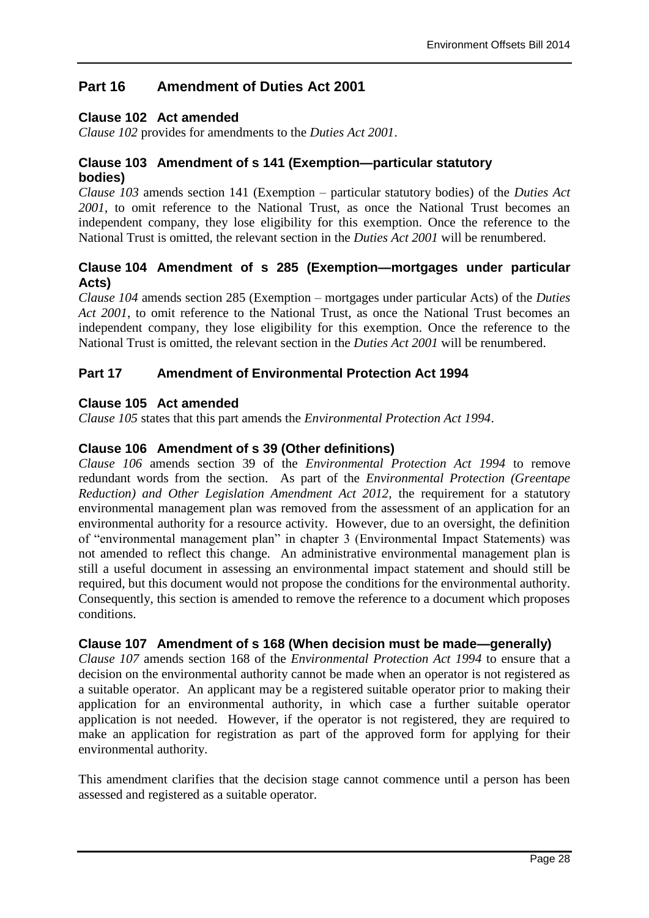## **Part 16 Amendment of Duties Act 2001**

## **Clause 102 Act amended**

*Clause 102* provides for amendments to the *Duties Act 2001*.

## **Clause 103 Amendment of s 141 (Exemption—particular statutory bodies)**

*Clause 103* amends section 141 (Exemption – particular statutory bodies) of the *Duties Act 2001*, to omit reference to the National Trust, as once the National Trust becomes an independent company, they lose eligibility for this exemption. Once the reference to the National Trust is omitted, the relevant section in the *Duties Act 2001* will be renumbered.

## **Clause 104 Amendment of s 285 (Exemption—mortgages under particular Acts)**

*Clause 104* amends section 285 (Exemption – mortgages under particular Acts) of the *Duties Act 2001*, to omit reference to the National Trust, as once the National Trust becomes an independent company, they lose eligibility for this exemption. Once the reference to the National Trust is omitted, the relevant section in the *Duties Act 2001* will be renumbered.

## **Part 17 Amendment of Environmental Protection Act 1994**

## **Clause 105 Act amended**

*Clause 105* states that this part amends the *Environmental Protection Act 1994*.

## **Clause 106 Amendment of s 39 (Other definitions)**

*Clause 106* amends section 39 of the *Environmental Protection Act 1994* to remove redundant words from the section. As part of the *Environmental Protection (Greentape Reduction) and Other Legislation Amendment Act 2012, the requirement for a statutory* environmental management plan was removed from the assessment of an application for an environmental authority for a resource activity. However, due to an oversight, the definition of "environmental management plan" in chapter 3 (Environmental Impact Statements) was not amended to reflect this change. An administrative environmental management plan is still a useful document in assessing an environmental impact statement and should still be required, but this document would not propose the conditions for the environmental authority. Consequently, this section is amended to remove the reference to a document which proposes conditions.

## **Clause 107 Amendment of s 168 (When decision must be made—generally)**

*Clause 107* amends section 168 of the *Environmental Protection Act 1994* to ensure that a decision on the environmental authority cannot be made when an operator is not registered as a suitable operator. An applicant may be a registered suitable operator prior to making their application for an environmental authority, in which case a further suitable operator application is not needed. However, if the operator is not registered, they are required to make an application for registration as part of the approved form for applying for their environmental authority.

This amendment clarifies that the decision stage cannot commence until a person has been assessed and registered as a suitable operator.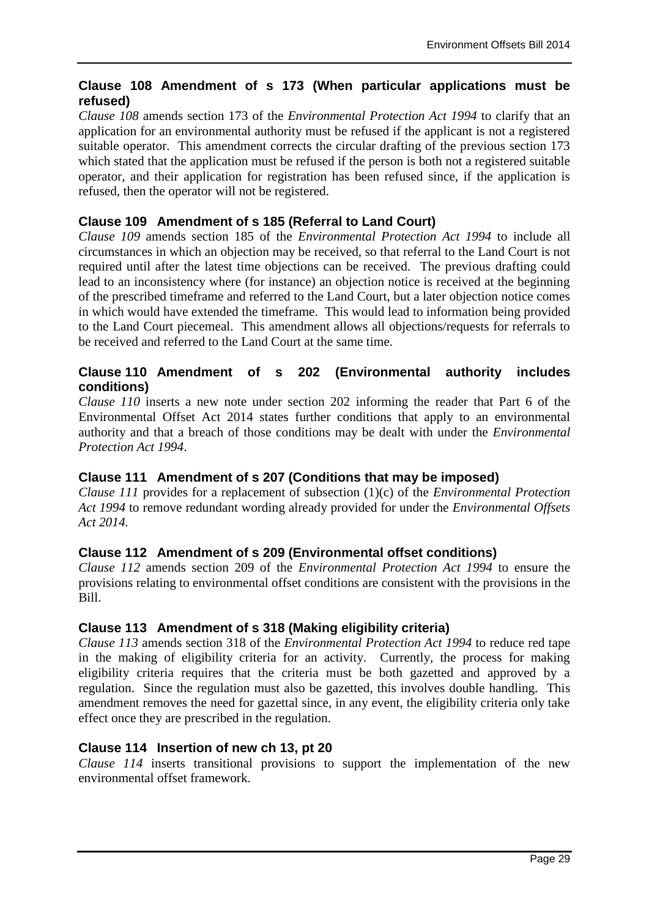## **Clause 108 Amendment of s 173 (When particular applications must be refused)**

*Clause 108* amends section 173 of the *Environmental Protection Act 1994* to clarify that an application for an environmental authority must be refused if the applicant is not a registered suitable operator. This amendment corrects the circular drafting of the previous section 173 which stated that the application must be refused if the person is both not a registered suitable operator, and their application for registration has been refused since, if the application is refused, then the operator will not be registered.

## **Clause 109 Amendment of s 185 (Referral to Land Court)**

*Clause 109* amends section 185 of the *Environmental Protection Act 1994* to include all circumstances in which an objection may be received, so that referral to the Land Court is not required until after the latest time objections can be received. The previous drafting could lead to an inconsistency where (for instance) an objection notice is received at the beginning of the prescribed timeframe and referred to the Land Court, but a later objection notice comes in which would have extended the timeframe. This would lead to information being provided to the Land Court piecemeal. This amendment allows all objections/requests for referrals to be received and referred to the Land Court at the same time.

## **Clause 110 Amendment of s 202 (Environmental authority includes conditions)**

*Clause 110* inserts a new note under section 202 informing the reader that Part 6 of the Environmental Offset Act 2014 states further conditions that apply to an environmental authority and that a breach of those conditions may be dealt with under the *Environmental Protection Act 1994*.

## **Clause 111 Amendment of s 207 (Conditions that may be imposed)**

*Clause 111* provides for a replacement of subsection (1)(c) of the *Environmental Protection Act 1994* to remove redundant wording already provided for under the *Environmental Offsets Act 2014.* 

## **Clause 112 Amendment of s 209 (Environmental offset conditions)**

*Clause 112* amends section 209 of the *Environmental Protection Act 1994* to ensure the provisions relating to environmental offset conditions are consistent with the provisions in the Bill.

## **Clause 113 Amendment of s 318 (Making eligibility criteria)**

*Clause 113* amends section 318 of the *Environmental Protection Act 1994* to reduce red tape in the making of eligibility criteria for an activity. Currently, the process for making eligibility criteria requires that the criteria must be both gazetted and approved by a regulation. Since the regulation must also be gazetted, this involves double handling. This amendment removes the need for gazettal since, in any event, the eligibility criteria only take effect once they are prescribed in the regulation.

## **Clause 114 Insertion of new ch 13, pt 20**

*Clause 114* inserts transitional provisions to support the implementation of the new environmental offset framework.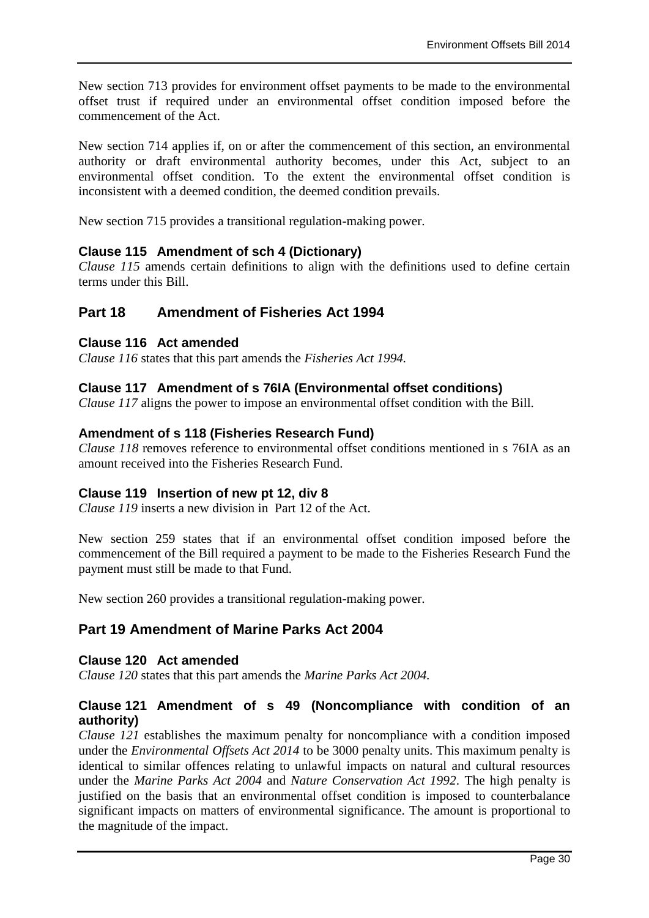New section 713 provides for environment offset payments to be made to the environmental offset trust if required under an environmental offset condition imposed before the commencement of the Act.

New section 714 applies if, on or after the commencement of this section, an environmental authority or draft environmental authority becomes, under this Act, subject to an environmental offset condition. To the extent the environmental offset condition is inconsistent with a deemed condition, the deemed condition prevails.

New section 715 provides a transitional regulation-making power.

## **Clause 115 Amendment of sch 4 (Dictionary)**

*Clause 115* amends certain definitions to align with the definitions used to define certain terms under this Bill.

## **Part 18 Amendment of Fisheries Act 1994**

## **Clause 116 Act amended**

*Clause 116* states that this part amends the *Fisheries Act 1994.*

## **Clause 117 Amendment of s 76IA (Environmental offset conditions)**

*Clause 117* aligns the power to impose an environmental offset condition with the Bill.

## **Amendment of s 118 (Fisheries Research Fund)**

*Clause 118* removes reference to environmental offset conditions mentioned in s 76IA as an amount received into the Fisheries Research Fund.

#### **Clause 119 Insertion of new pt 12, div 8**

*Clause 119* inserts a new division in Part 12 of the Act.

New section 259 states that if an environmental offset condition imposed before the commencement of the Bill required a payment to be made to the Fisheries Research Fund the payment must still be made to that Fund.

New section 260 provides a transitional regulation-making power.

## **Part 19 Amendment of Marine Parks Act 2004**

#### **Clause 120 Act amended**

*Clause 120* states that this part amends the *Marine Parks Act 2004.*

## **Clause 121 Amendment of s 49 (Noncompliance with condition of an authority)**

*Clause 121* establishes the maximum penalty for noncompliance with a condition imposed under the *Environmental Offsets Act 2014* to be 3000 penalty units. This maximum penalty is identical to similar offences relating to unlawful impacts on natural and cultural resources under the *Marine Parks Act 2004* and *Nature Conservation Act 1992*. The high penalty is justified on the basis that an environmental offset condition is imposed to counterbalance significant impacts on matters of environmental significance. The amount is proportional to the magnitude of the impact.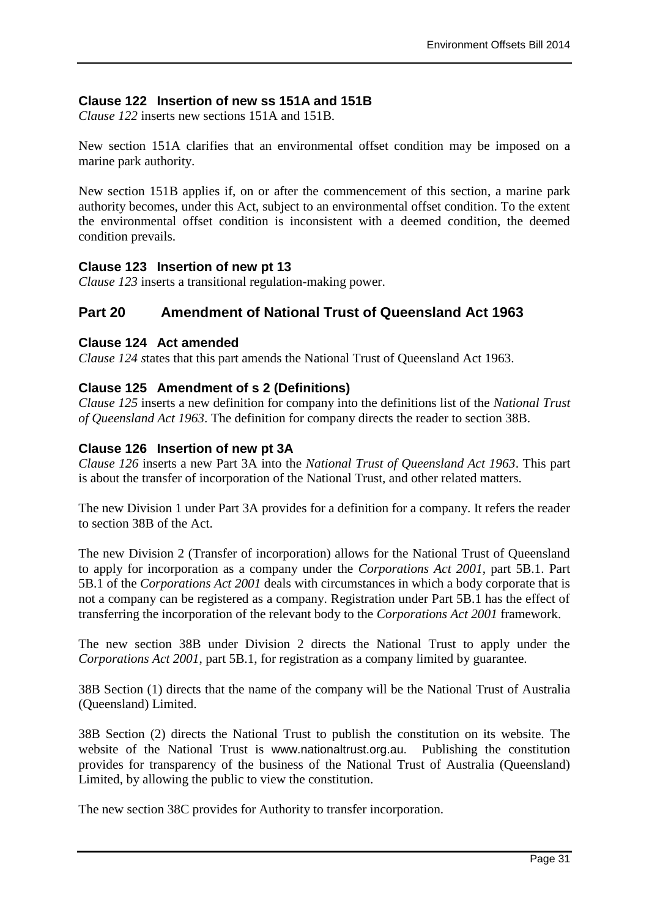## **Clause 122 Insertion of new ss 151A and 151B**

*Clause 122* inserts new sections 151A and 151B.

New section 151A clarifies that an environmental offset condition may be imposed on a marine park authority.

New section 151B applies if, on or after the commencement of this section, a marine park authority becomes, under this Act, subject to an environmental offset condition. To the extent the environmental offset condition is inconsistent with a deemed condition, the deemed condition prevails.

## **Clause 123 Insertion of new pt 13**

*Clause 123* inserts a transitional regulation-making power.

## **Part 20 Amendment of National Trust of Queensland Act 1963**

#### **Clause 124 Act amended**

*Clause 124 s*tates that this part amends the National Trust of Queensland Act 1963.

## **Clause 125 Amendment of s 2 (Definitions)**

*Clause 125* inserts a new definition for company into the definitions list of the *National Trust of Queensland Act 1963*. The definition for company directs the reader to section 38B.

#### **Clause 126 Insertion of new pt 3A**

*Clause 126* inserts a new Part 3A into the *National Trust of Queensland Act 1963*. This part is about the transfer of incorporation of the National Trust, and other related matters.

The new Division 1 under Part 3A provides for a definition for a company. It refers the reader to section 38B of the Act.

The new Division 2 (Transfer of incorporation) allows for the National Trust of Queensland to apply for incorporation as a company under the *Corporations Act 2001*, part 5B.1. Part 5B.1 of the *Corporations Act 2001* deals with circumstances in which a body corporate that is not a company can be registered as a company. Registration under Part 5B.1 has the effect of transferring the incorporation of the relevant body to the *Corporations Act 2001* framework.

The new section 38B under Division 2 directs the National Trust to apply under the *Corporations Act 2001*, part 5B.1, for registration as a company limited by guarantee.

38B Section (1) directs that the name of the company will be the National Trust of Australia (Queensland) Limited.

38B Section (2) directs the National Trust to publish the constitution on its website. The website of the National Trust is www.nationaltrust.org.au. Publishing the constitution provides for transparency of the business of the National Trust of Australia (Queensland) Limited, by allowing the public to view the constitution.

The new section 38C provides for Authority to transfer incorporation.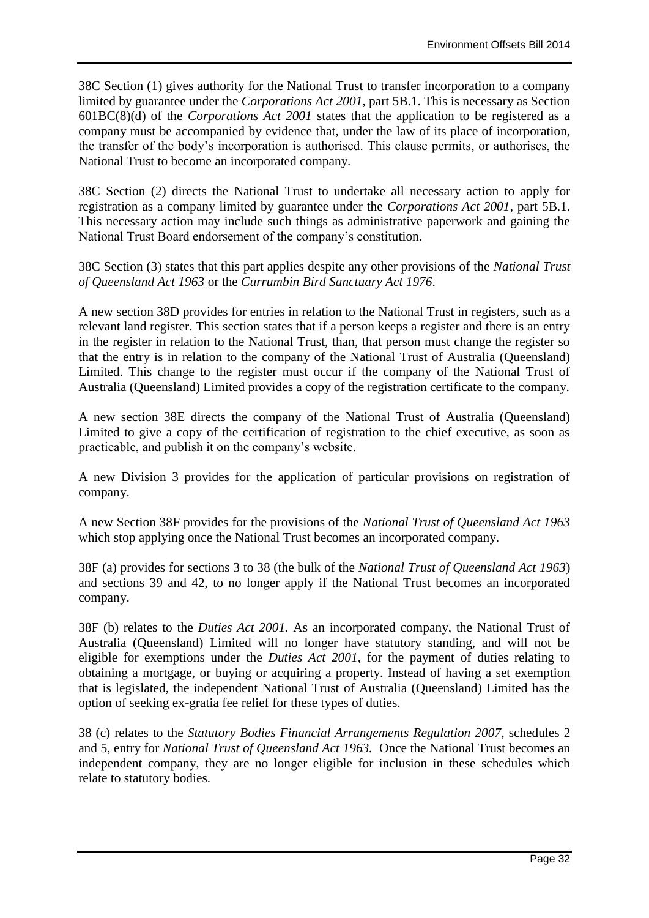38C Section (1) gives authority for the National Trust to transfer incorporation to a company limited by guarantee under the *Corporations Act 2001*, part 5B.1. This is necessary as Section 601BC(8)(d) of the *Corporations Act 2001* states that the application to be registered as a company must be accompanied by evidence that, under the law of its place of incorporation, the transfer of the body's incorporation is authorised. This clause permits, or authorises, the National Trust to become an incorporated company.

38C Section (2) directs the National Trust to undertake all necessary action to apply for registration as a company limited by guarantee under the *Corporations Act 2001*, part 5B.1. This necessary action may include such things as administrative paperwork and gaining the National Trust Board endorsement of the company's constitution.

38C Section (3) states that this part applies despite any other provisions of the *National Trust of Queensland Act 1963* or the *Currumbin Bird Sanctuary Act 1976*.

A new section 38D provides for entries in relation to the National Trust in registers, such as a relevant land register. This section states that if a person keeps a register and there is an entry in the register in relation to the National Trust, than, that person must change the register so that the entry is in relation to the company of the National Trust of Australia (Queensland) Limited. This change to the register must occur if the company of the National Trust of Australia (Queensland) Limited provides a copy of the registration certificate to the company.

A new section 38E directs the company of the National Trust of Australia (Queensland) Limited to give a copy of the certification of registration to the chief executive, as soon as practicable, and publish it on the company's website.

A new Division 3 provides for the application of particular provisions on registration of company.

A new Section 38F provides for the provisions of the *National Trust of Queensland Act 1963*  which stop applying once the National Trust becomes an incorporated company.

38F (a) provides for sections 3 to 38 (the bulk of the *National Trust of Queensland Act 1963*) and sections 39 and 42, to no longer apply if the National Trust becomes an incorporated company.

38F (b) relates to the *Duties Act 2001.* As an incorporated company, the National Trust of Australia (Queensland) Limited will no longer have statutory standing, and will not be eligible for exemptions under the *Duties Act 2001*, for the payment of duties relating to obtaining a mortgage, or buying or acquiring a property. Instead of having a set exemption that is legislated, the independent National Trust of Australia (Queensland) Limited has the option of seeking ex-gratia fee relief for these types of duties.

38 (c) relates to the *Statutory Bodies Financial Arrangements Regulation 2007*, schedules 2 and 5, entry for *National Trust of Queensland Act 1963.* Once the National Trust becomes an independent company, they are no longer eligible for inclusion in these schedules which relate to statutory bodies.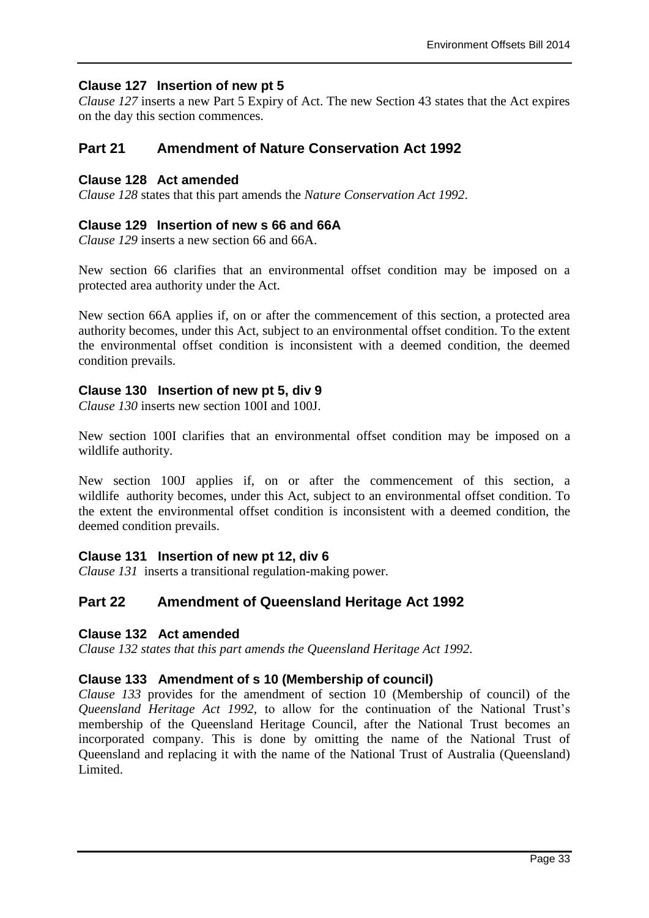## **Clause 127 Insertion of new pt 5**

*Clause 127* inserts a new Part 5 Expiry of Act. The new Section 43 states that the Act expires on the day this section commences.

## **Part 21 Amendment of Nature Conservation Act 1992**

## **Clause 128 Act amended**

*Clause 128* states that this part amends the *Nature Conservation Act 1992*.

#### **Clause 129 Insertion of new s 66 and 66A**

*Clause 129* inserts a new section 66 and 66A.

New section 66 clarifies that an environmental offset condition may be imposed on a protected area authority under the Act.

New section 66A applies if, on or after the commencement of this section, a protected area authority becomes, under this Act, subject to an environmental offset condition. To the extent the environmental offset condition is inconsistent with a deemed condition, the deemed condition prevails.

## **Clause 130 Insertion of new pt 5, div 9**

*Clause 130* inserts new section 100I and 100J.

New section 100I clarifies that an environmental offset condition may be imposed on a wildlife authority.

New section 100J applies if, on or after the commencement of this section, a wildlife authority becomes, under this Act, subject to an environmental offset condition. To the extent the environmental offset condition is inconsistent with a deemed condition, the deemed condition prevails.

#### **Clause 131 Insertion of new pt 12, div 6**

*Clause 131* inserts a transitional regulation-making power.

## **Part 22 Amendment of Queensland Heritage Act 1992**

#### **Clause 132 Act amended**

*Clause 132 states that this part amends the Queensland Heritage Act 1992.*

## **Clause 133 Amendment of s 10 (Membership of council)**

*Clause 133* provides for the amendment of section 10 (Membership of council) of the *Queensland Heritage Act 1992,* to allow for the continuation of the National Trust's membership of the Queensland Heritage Council, after the National Trust becomes an incorporated company. This is done by omitting the name of the National Trust of Queensland and replacing it with the name of the National Trust of Australia (Queensland) Limited.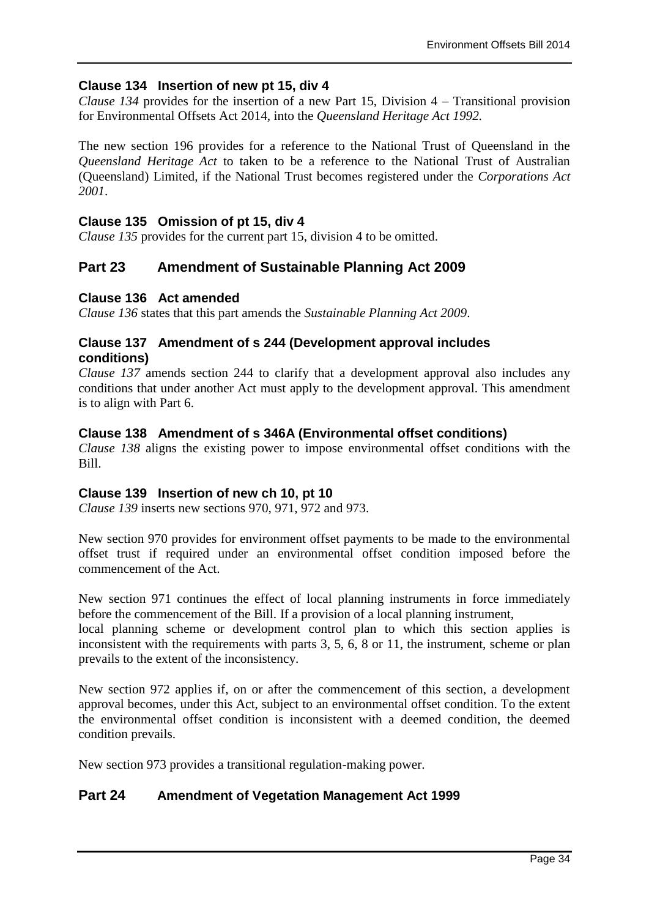## **Clause 134 Insertion of new pt 15, div 4**

*Clause 134* provides for the insertion of a new Part 15, Division 4 – Transitional provision for Environmental Offsets Act 2014, into the *Queensland Heritage Act 1992.* 

The new section 196 provides for a reference to the National Trust of Queensland in the *Queensland Heritage Act* to taken to be a reference to the National Trust of Australian (Queensland) Limited, if the National Trust becomes registered under the *Corporations Act 2001*.

### **Clause 135 Omission of pt 15, div 4**

*Clause 135* provides for the current part 15, division 4 to be omitted.

## **Part 23 Amendment of Sustainable Planning Act 2009**

#### **Clause 136 Act amended**

*Clause 136* states that this part amends the *Sustainable Planning Act 2009*.

#### **Clause 137 Amendment of s 244 (Development approval includes conditions)**

*Clause 137* amends section 244 to clarify that a development approval also includes any conditions that under another Act must apply to the development approval. This amendment is to align with Part 6.

## **Clause 138 Amendment of s 346A (Environmental offset conditions)**

*Clause 138* aligns the existing power to impose environmental offset conditions with the Bill.

#### **Clause 139 Insertion of new ch 10, pt 10**

*Clause 139* inserts new sections 970, 971, 972 and 973.

New section 970 provides for environment offset payments to be made to the environmental offset trust if required under an environmental offset condition imposed before the commencement of the Act.

New section 971 continues the effect of local planning instruments in force immediately before the commencement of the Bill. If a provision of a local planning instrument,

local planning scheme or development control plan to which this section applies is inconsistent with the requirements with parts 3, 5, 6, 8 or 11, the instrument, scheme or plan prevails to the extent of the inconsistency.

New section 972 applies if, on or after the commencement of this section, a development approval becomes, under this Act, subject to an environmental offset condition. To the extent the environmental offset condition is inconsistent with a deemed condition, the deemed condition prevails.

New section 973 provides a transitional regulation-making power.

## **Part 24 Amendment of Vegetation Management Act 1999**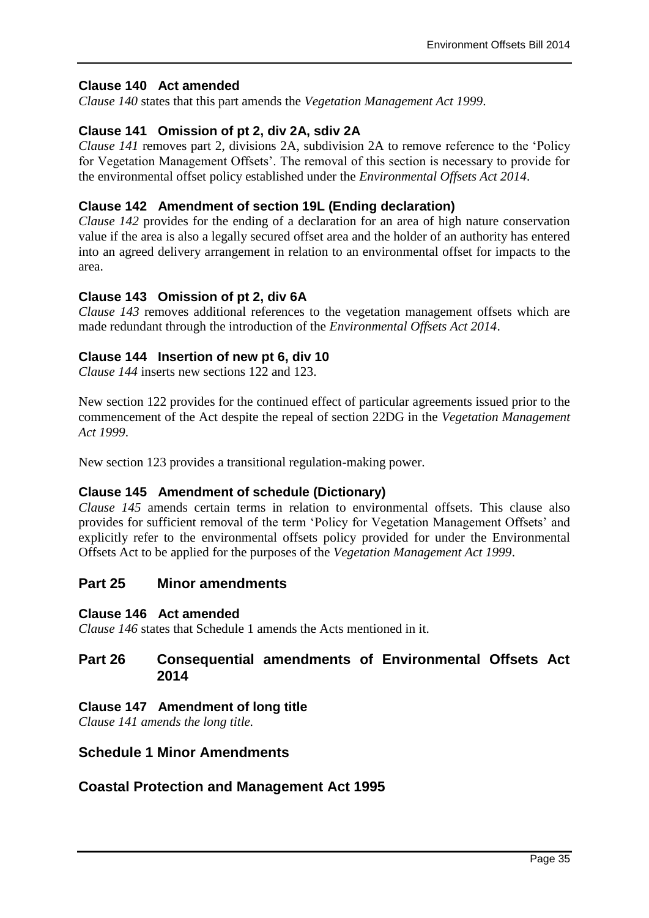## **Clause 140 Act amended**

*Clause 140* states that this part amends the *Vegetation Management Act 1999*.

## **Clause 141 Omission of pt 2, div 2A, sdiv 2A**

*Clause 141* removes part 2, divisions 2A, subdivision 2A to remove reference to the 'Policy for Vegetation Management Offsets'. The removal of this section is necessary to provide for the environmental offset policy established under the *Environmental Offsets Act 2014*.

## **Clause 142 Amendment of section 19L (Ending declaration)**

*Clause 142* provides for the ending of a declaration for an area of high nature conservation value if the area is also a legally secured offset area and the holder of an authority has entered into an agreed delivery arrangement in relation to an environmental offset for impacts to the area.

## **Clause 143 Omission of pt 2, div 6A**

*Clause 143* removes additional references to the vegetation management offsets which are made redundant through the introduction of the *Environmental Offsets Act 2014*.

#### **Clause 144 Insertion of new pt 6, div 10**

*Clause 144* inserts new sections 122 and 123.

New section 122 provides for the continued effect of particular agreements issued prior to the commencement of the Act despite the repeal of section 22DG in the *Vegetation Management Act 1999*.

New section 123 provides a transitional regulation-making power.

#### **Clause 145 Amendment of schedule (Dictionary)**

*Clause 145* amends certain terms in relation to environmental offsets. This clause also provides for sufficient removal of the term 'Policy for Vegetation Management Offsets' and explicitly refer to the environmental offsets policy provided for under the Environmental Offsets Act to be applied for the purposes of the *Vegetation Management Act 1999*.

## **Part 25 Minor amendments**

#### **Clause 146 Act amended**

*Clause 146* states that Schedule 1 amends the Acts mentioned in it.

## **Part 26 Consequential amendments of Environmental Offsets Act 2014**

#### **Clause 147 Amendment of long title**

*Clause 141 amends the long title.*

## **Schedule 1 Minor Amendments**

## **Coastal Protection and Management Act 1995**